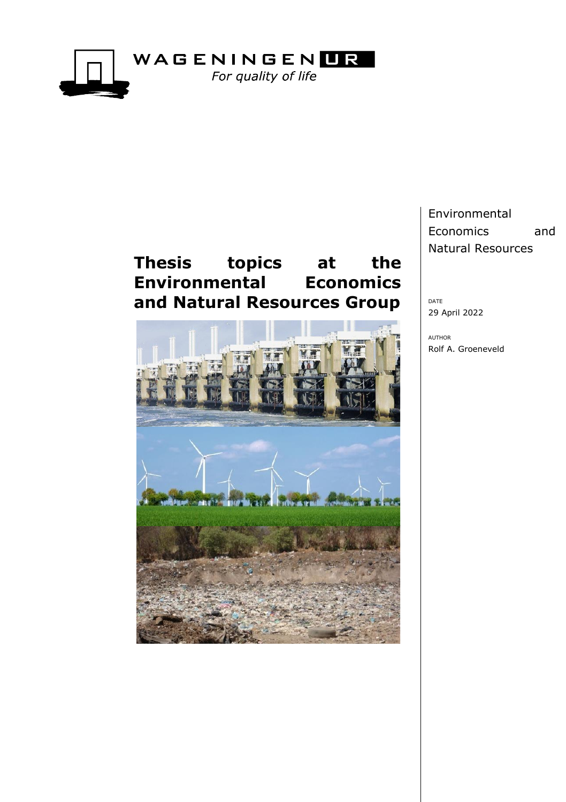

# **Thesis topics at the Environmental Economics and Natural Resources Group**



Environmental Economics and Natural Resources

DATE 29 April 2022

AUTHOR Rolf A. Groeneveld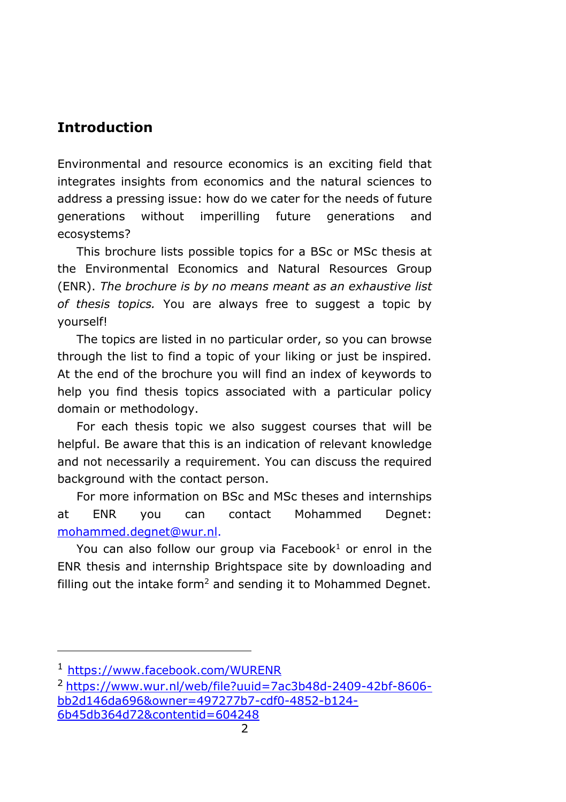# **Introduction**

Environmental and resource economics is an exciting field that integrates insights from economics and the natural sciences to address a pressing issue: how do we cater for the needs of future generations without imperilling future generations and ecosystems?

This brochure lists possible topics for a BSc or MSc thesis at the Environmental Economics and Natural Resources Group (ENR). *The brochure is by no means meant as an exhaustive list of thesis topics.* You are always free to suggest a topic by yourself!

The topics are listed in no particular order, so you can browse through the list to find a topic of your liking or just be inspired. At the end of the brochure you will find an index of keywords to help you find thesis topics associated with a particular policy domain or methodology.

For each thesis topic we also suggest courses that will be helpful. Be aware that this is an indication of relevant knowledge and not necessarily a requirement. You can discuss the required background with the contact person.

For more information on BSc and MSc theses and internships at ENR you can contact Mohammed Degnet: [mohammed.degnet@wur.nl.](mailto:mohammed.degnet@wur.nl)

You can also follow our group via Facebook<sup>1</sup> or enrol in the ENR thesis and internship Brightspace site by downloading and filling out the intake form<sup>2</sup> and sending it to Mohammed Degnet.

<sup>1</sup> <https://www.facebook.com/WURENR>

 $2$  [https://www.wur.nl/web/file?uuid=7ac3b48d-2409-42bf-8606](https://www.wur.nl/web/file?uuid=7ac3b48d-2409-42bf-8606-bb2d146da696&owner=497277b7-cdf0-4852-b124-6b45db364d72&contentid=604248) [bb2d146da696&owner=497277b7-cdf0-4852-b124-](https://www.wur.nl/web/file?uuid=7ac3b48d-2409-42bf-8606-bb2d146da696&owner=497277b7-cdf0-4852-b124-6b45db364d72&contentid=604248) [6b45db364d72&contentid=604248](https://www.wur.nl/web/file?uuid=7ac3b48d-2409-42bf-8606-bb2d146da696&owner=497277b7-cdf0-4852-b124-6b45db364d72&contentid=604248)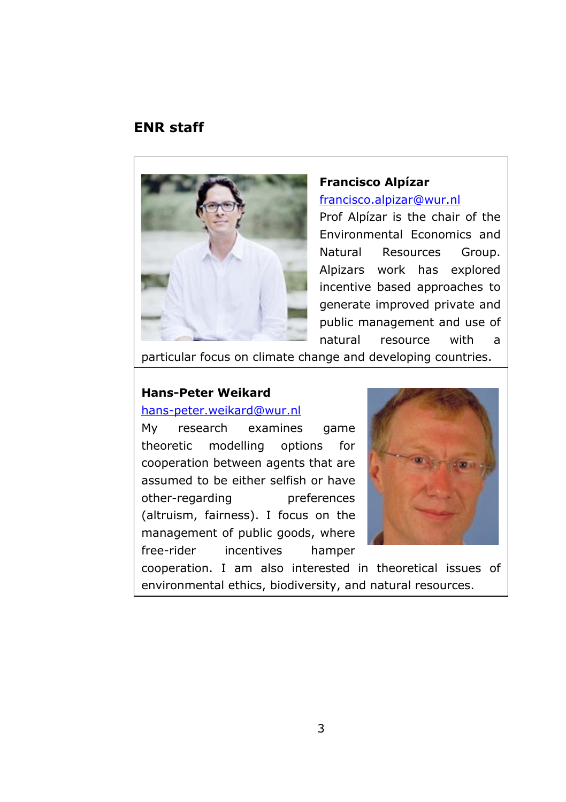### **ENR staff**



#### **Francisco Alpízar**

[francisco.alpizar@wur.nl](mailto:francisco.alpizar@wur.nl)

Prof Alpízar is the chair of the Environmental Economics and Natural Resources Group. Alpizars work has explored incentive based approaches to generate improved private and public management and use of natural resource with a

particular focus on climate change and developing countries.

# **Hans-Peter Weikard**

### [hans-peter.weikard@wur.nl](mailto:hans-peter.weikard@wur.nl)

My research examines game theoretic modelling options for cooperation between agents that are assumed to be either selfish or have other-regarding preferences (altruism, fairness). I focus on the management of public goods, where free-rider incentives hamper



cooperation. I am also interested in theoretical issues of environmental ethics, biodiversity, and natural resources.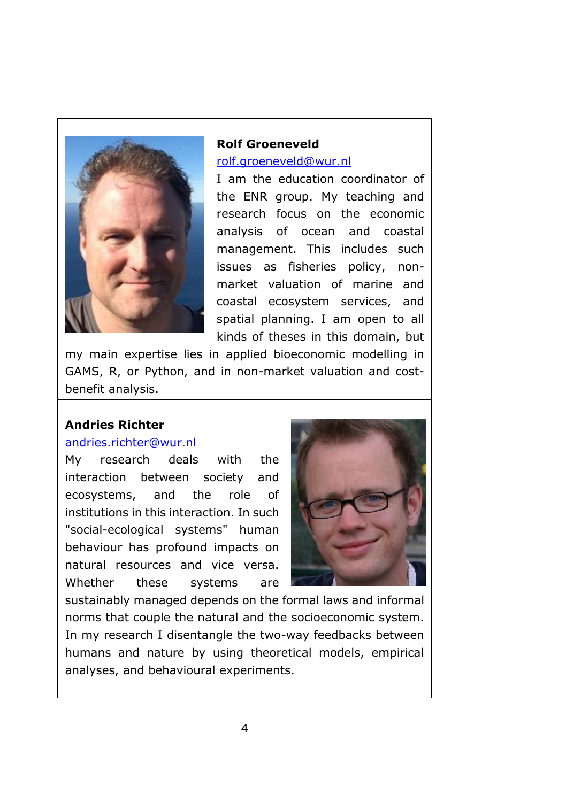

**Rolf Groeneveld** [rolf.groeneveld@wur.nl](mailto:rolf.groeneveld@wur.nl)

I am the education coordinator of the ENR group. My teaching and research focus on the economic analysis of ocean and coastal management. This includes such issues as fisheries policy, nonmarket valuation of marine and coastal ecosystem services, and spatial planning. I am open to all kinds of theses in this domain, but

my main expertise lies in applied bioeconomic modelling in GAMS, R, or Python, and in non-market valuation and costbenefit analysis.

### **Andries Richter**

#### [andries.richter@wur.nl](mailto:andries.richter@wur.nl)

My research deals with the interaction between society and ecosystems, and the role of institutions in this interaction. In such "social-ecological systems" human behaviour has profound impacts on natural resources and vice versa. Whether these systems are



sustainably managed depends on the formal laws and informal norms that couple the natural and the socioeconomic system. In my research I disentangle the two-way feedbacks between humans and nature by using theoretical models, empirical analyses, and behavioural experiments.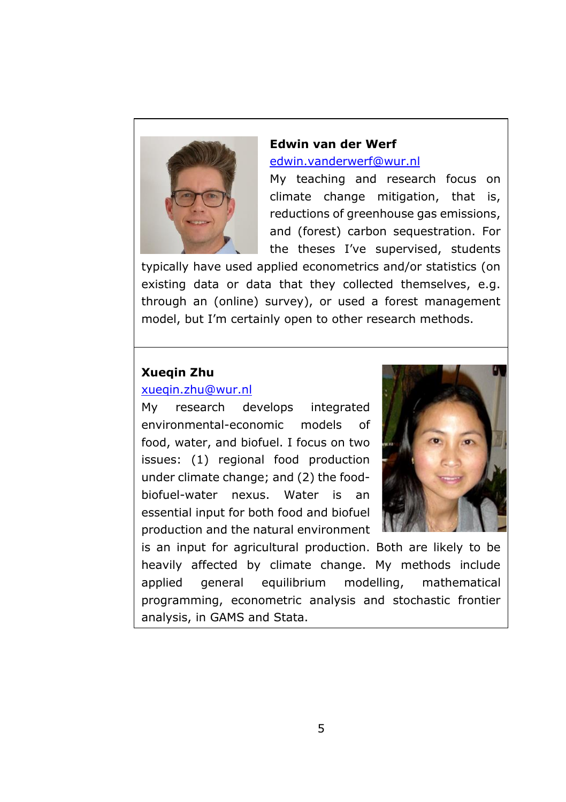

## **Edwin van der Werf** [edwin.vanderwerf@wur.nl](mailto:edwin.vanderwerf@wur.nl)

My teaching and research focus on climate change mitigation, that is, reductions of greenhouse gas emissions, and (forest) carbon sequestration. For the theses I've supervised, students

typically have used applied econometrics and/or statistics (on existing data or data that they collected themselves, e.g. through an (online) survey), or used a forest management model, but I'm certainly open to other research methods.

### **Xueqin Zhu**

### [xueqin.zhu@wur.nl](mailto:xueqin.zhu@wur.nl)

My research develops integrated environmental-economic models of food, water, and biofuel. I focus on two issues: (1) regional food production under climate change; and (2) the foodbiofuel-water nexus. Water is an essential input for both food and biofuel production and the natural environment



is an input for agricultural production. Both are likely to be heavily affected by climate change. My methods include applied general equilibrium modelling, mathematical programming, econometric analysis and stochastic frontier analysis, in GAMS and Stata.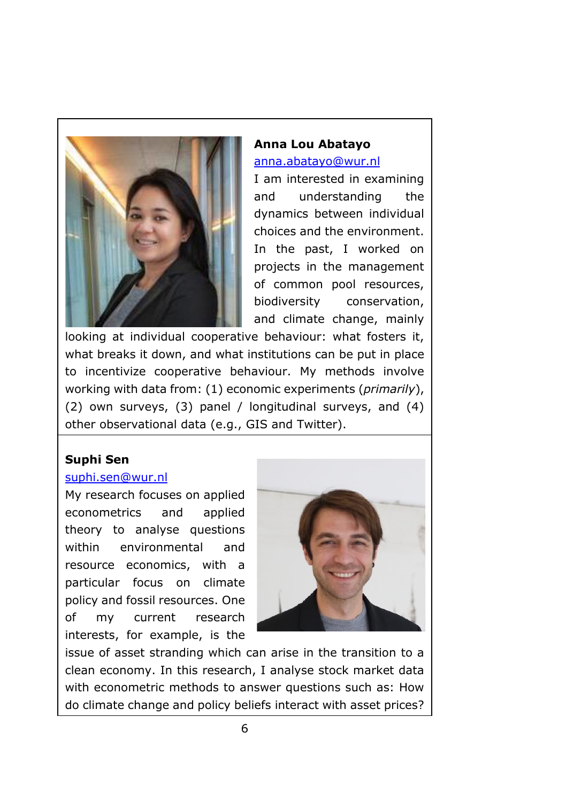

# **Anna Lou Abatayo** [anna.abatayo@wur.nl](mailto:anna.abatayo@wur.nl)

I am interested in examining and understanding the dynamics between individual choices and the environment. In the past, I worked on projects in the management of common pool resources, biodiversity conservation, and climate change, mainly

looking at individual cooperative behaviour: what fosters it, what breaks it down, and what institutions can be put in place to incentivize cooperative behaviour. My methods involve working with data from: (1) economic experiments (*primarily*), (2) own surveys, (3) panel / longitudinal surveys, and (4) other observational data (e.g., GIS and Twitter).

# **Suphi Sen**

### [suphi.sen@wur.nl](mailto:suphi.sen@wur.nl)

My research focuses on applied econometrics and applied theory to analyse questions within environmental and resource economics, with a particular focus on climate policy and fossil resources. One of my current research interests, for example, is the



issue of asset stranding which can arise in the transition to a clean economy. In this research, I analyse stock market data with econometric methods to answer questions such as: How do climate change and policy beliefs interact with asset prices?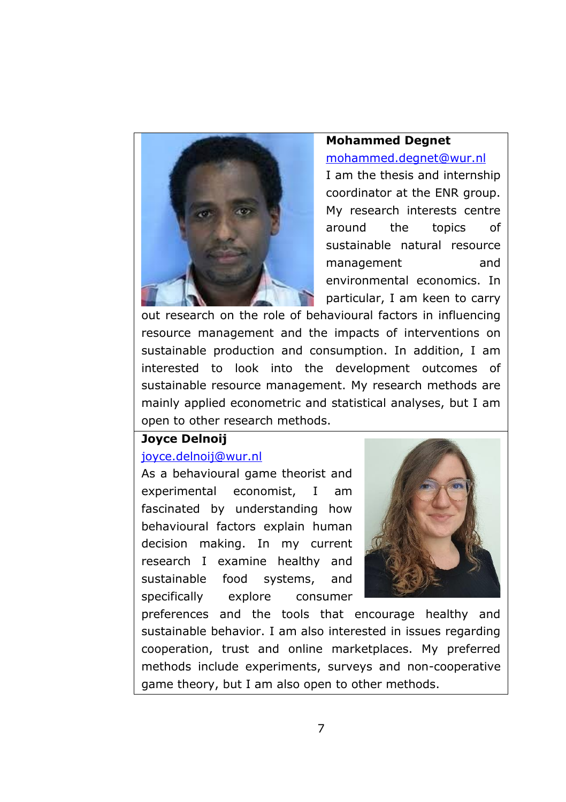

### **Mohammed Degnet**

#### [mohammed.degnet@wur.nl](mailto:mohammed.degnet@wur.nl)

I am the thesis and internship coordinator at the ENR group. My research interests centre around the topics of sustainable natural resource management and environmental economics. In particular, I am keen to carry

out research on the role of behavioural factors in influencing resource management and the impacts of interventions on sustainable production and consumption. In addition, I am interested to look into the development outcomes of sustainable resource management. My research methods are mainly applied econometric and statistical analyses, but I am open to other research methods.

### **Joyce Delnoij**

### [joyce.delnoij@wur.nl](mailto:joyce.delnoij@wur.nl)

As a behavioural game theorist and experimental economist, I am fascinated by understanding how behavioural factors explain human decision making. In my current research I examine healthy and sustainable food systems, and specifically explore consumer



preferences and the tools that encourage healthy and sustainable behavior. I am also interested in issues regarding cooperation, trust and online marketplaces. My preferred methods include experiments, surveys and non-cooperative game theory, but I am also open to other methods.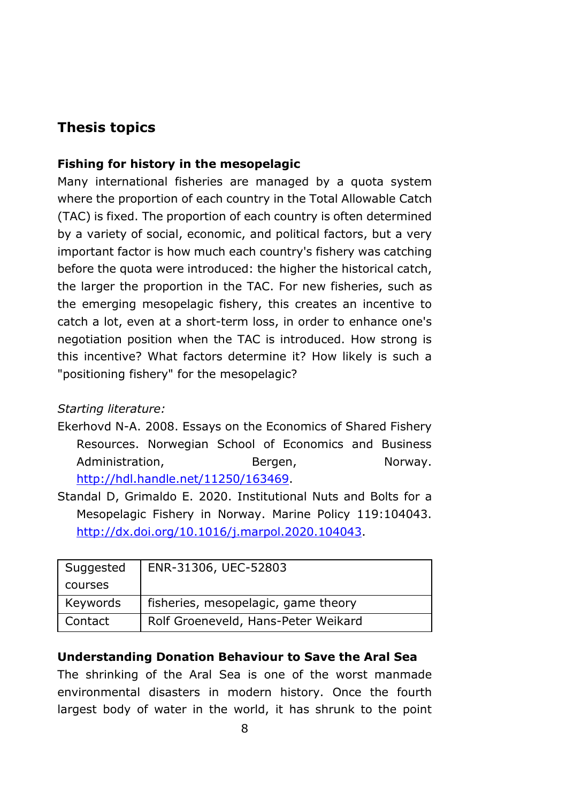# **Thesis topics**

### **Fishing for history in the mesopelagic**

Many international fisheries are managed by a quota system where the proportion of each country in the Total Allowable Catch (TAC) is fixed. The proportion of each country is often determined by a variety of social, economic, and political factors, but a very important factor is how much each country's fishery was catching before the quota were introduced: the higher the historical catch, the larger the proportion in the TAC. For new fisheries, such as the emerging mesopelagic fishery, this creates an incentive to catch a lot, even at a short-term loss, in order to enhance one's negotiation position when the TAC is introduced. How strong is this incentive? What factors determine it? How likely is such a "positioning fishery" for the mesopelagic?

### *Starting literature:*

- Ekerhovd N-A. 2008. Essays on the Economics of Shared Fishery Resources. Norwegian School of Economics and Business Administration, Bergen, Norway. [http://hdl.handle.net/11250/163469.](http://hdl.handle.net/11250/163469)
- Standal D, Grimaldo E. 2020. Institutional Nuts and Bolts for a Mesopelagic Fishery in Norway. Marine Policy 119:104043. [http://dx.doi.org/10.1016/j.marpol.2020.104043.](http://dx.doi.org/10.1016/j.marpol.2020.104043)

| Suggested | ENR-31306, UEC-52803                |
|-----------|-------------------------------------|
| courses   |                                     |
| Keywords  | fisheries, mesopelagic, game theory |
| Contact   | Rolf Groeneveld, Hans-Peter Weikard |

### **Understanding Donation Behaviour to Save the Aral Sea**

The shrinking of the Aral Sea is one of the worst manmade environmental disasters in modern history. Once the fourth largest body of water in the world, it has shrunk to the point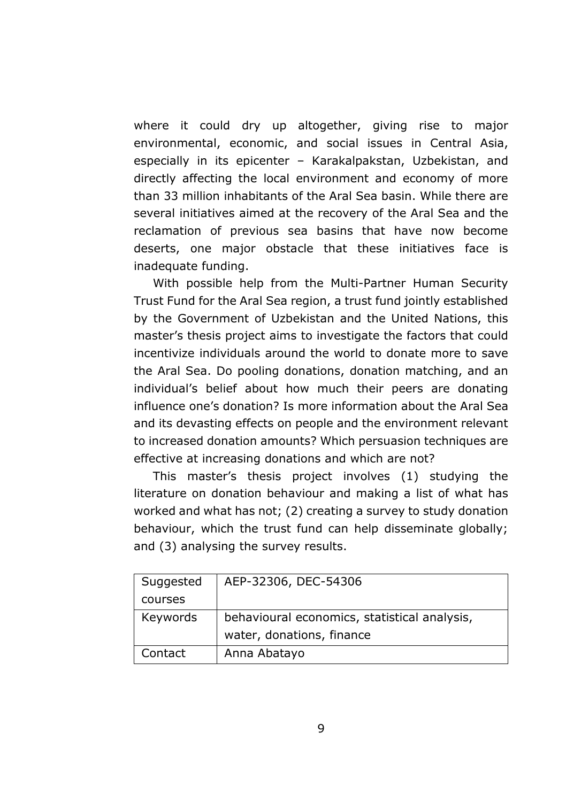where it could dry up altogether, giving rise to major environmental, economic, and social issues in Central Asia, especially in its epicenter – Karakalpakstan, Uzbekistan, and directly affecting the local environment and economy of more than 33 million inhabitants of the Aral Sea basin. While there are several initiatives aimed at the recovery of the Aral Sea and the reclamation of previous sea basins that have now become deserts, one major obstacle that these initiatives face is inadequate funding.

With possible help from the Multi-Partner Human Security Trust Fund for the Aral Sea region, a trust fund jointly established by the Government of Uzbekistan and the United Nations, this master's thesis project aims to investigate the factors that could incentivize individuals around the world to donate more to save the Aral Sea. Do pooling donations, donation matching, and an individual's belief about how much their peers are donating influence one's donation? Is more information about the Aral Sea and its devasting effects on people and the environment relevant to increased donation amounts? Which persuasion techniques are effective at increasing donations and which are not?

This master's thesis project involves (1) studying the literature on donation behaviour and making a list of what has worked and what has not; (2) creating a survey to study donation behaviour, which the trust fund can help disseminate globally; and (3) analysing the survey results.

| Suggested | AEP-32306, DEC-54306                         |
|-----------|----------------------------------------------|
| courses   |                                              |
| Keywords  | behavioural economics, statistical analysis, |
|           | water, donations, finance                    |
| Contact   | Anna Abatayo                                 |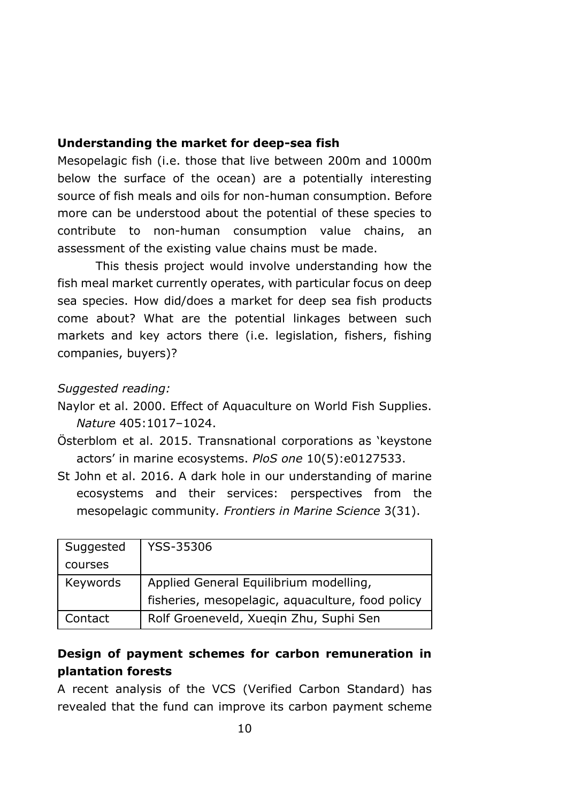### **Understanding the market for deep-sea fish**

Mesopelagic fish (i.e. those that live between 200m and 1000m below the surface of the ocean) are a potentially interesting source of fish meals and oils for non-human consumption. Before more can be understood about the potential of these species to contribute to non-human consumption value chains, an assessment of the existing value chains must be made.

This thesis project would involve understanding how the fish meal market currently operates, with particular focus on deep sea species. How did/does a market for deep sea fish products come about? What are the potential linkages between such markets and key actors there (i.e. legislation, fishers, fishing companies, buyers)?

#### *Suggested reading:*

- Naylor et al. 2000. Effect of Aquaculture on World Fish Supplies. *Nature* 405:1017–1024.
- Österblom et al. 2015. Transnational corporations as 'keystone actors' in marine ecosystems. *PloS one* 10(5):e0127533.
- St John et al. 2016. A dark hole in our understanding of marine ecosystems and their services: perspectives from the mesopelagic community*. Frontiers in Marine Science* 3(31).

| Suggested | YSS-35306                                        |
|-----------|--------------------------------------------------|
| courses   |                                                  |
| Keywords  | Applied General Equilibrium modelling,           |
|           | fisheries, mesopelagic, aquaculture, food policy |
| Contact   | Rolf Groeneveld, Xueqin Zhu, Suphi Sen           |

### **Design of payment schemes for carbon remuneration in plantation forests**

A recent analysis of the VCS (Verified Carbon Standard) has revealed that the fund can improve its carbon payment scheme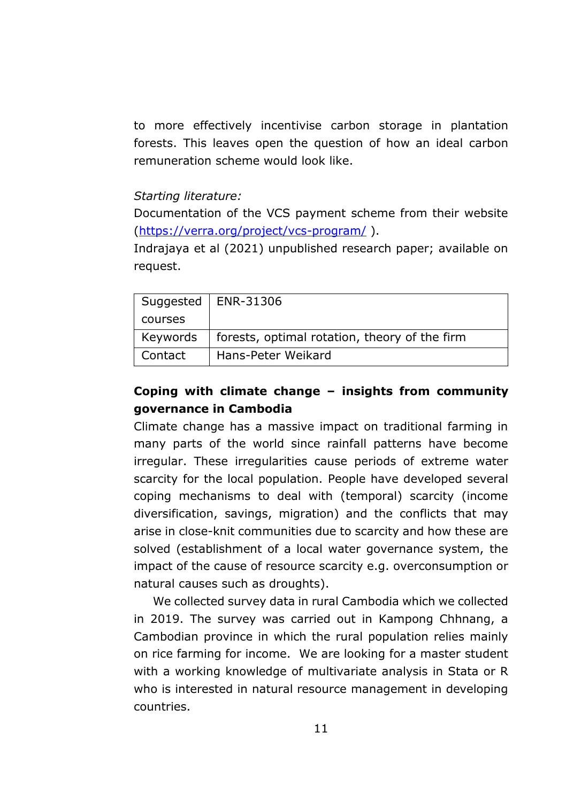to more effectively incentivise carbon storage in plantation forests. This leaves open the question of how an ideal carbon remuneration scheme would look like.

#### *Starting literature:*

Documentation of the VCS payment scheme from their website [\(https://verra.org/project/vcs-program/](https://verra.org/project/vcs-program/) ).

Indrajaya et al (2021) unpublished research paper; available on request.

|          | Suggested   ENR-31306                         |
|----------|-----------------------------------------------|
| courses  |                                               |
| Keywords | forests, optimal rotation, theory of the firm |
| Contact  | Hans-Peter Weikard                            |

# **Coping with climate change – insights from community governance in Cambodia**

Climate change has a massive impact on traditional farming in many parts of the world since rainfall patterns have become irregular. These irregularities cause periods of extreme water scarcity for the local population. People have developed several coping mechanisms to deal with (temporal) scarcity (income diversification, savings, migration) and the conflicts that may arise in close-knit communities due to scarcity and how these are solved (establishment of a local water governance system, the impact of the cause of resource scarcity e.g. overconsumption or natural causes such as droughts).

We collected survey data in rural Cambodia which we collected in 2019. The survey was carried out in Kampong Chhnang, a Cambodian province in which the rural population relies mainly on rice farming for income. We are looking for a master student with a working knowledge of multivariate analysis in Stata or R who is interested in natural resource management in developing countries.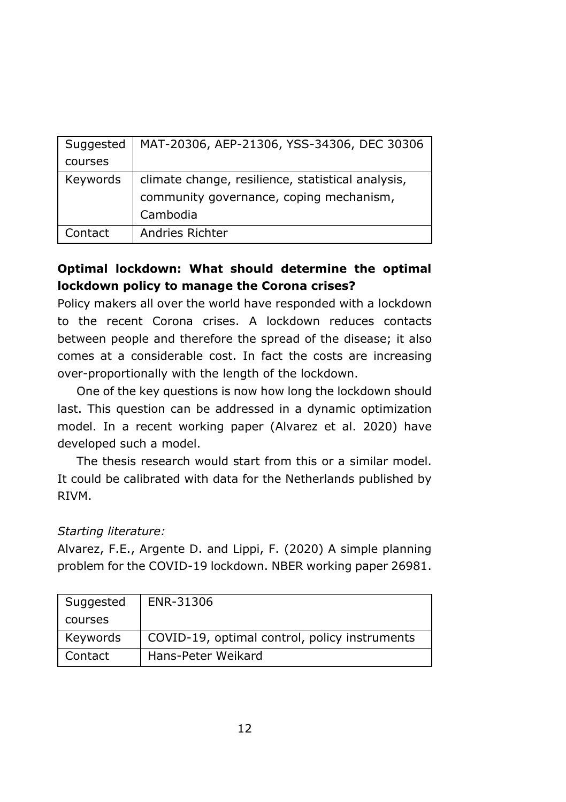| Suggested | MAT-20306, AEP-21306, YSS-34306, DEC 30306        |
|-----------|---------------------------------------------------|
| courses   |                                                   |
| Keywords  | climate change, resilience, statistical analysis, |
|           | community governance, coping mechanism,           |
|           | Cambodia                                          |
| Contact   | Andries Richter                                   |

# **Optimal lockdown: What should determine the optimal lockdown policy to manage the Corona crises?**

Policy makers all over the world have responded with a lockdown to the recent Corona crises. A lockdown reduces contacts between people and therefore the spread of the disease; it also comes at a considerable cost. In fact the costs are increasing over-proportionally with the length of the lockdown.

One of the key questions is now how long the lockdown should last. This question can be addressed in a dynamic optimization model. In a recent working paper (Alvarez et al. 2020) have developed such a model.

The thesis research would start from this or a similar model. It could be calibrated with data for the Netherlands published by RIVM.

### *Starting literature:*

Alvarez, F.E., Argente D. and Lippi, F. (2020) A simple planning problem for the COVID-19 lockdown. NBER working paper 26981.

| Suggested | ENR-31306                                     |
|-----------|-----------------------------------------------|
| courses   |                                               |
| Keywords  | COVID-19, optimal control, policy instruments |
| Contact   | Hans-Peter Weikard                            |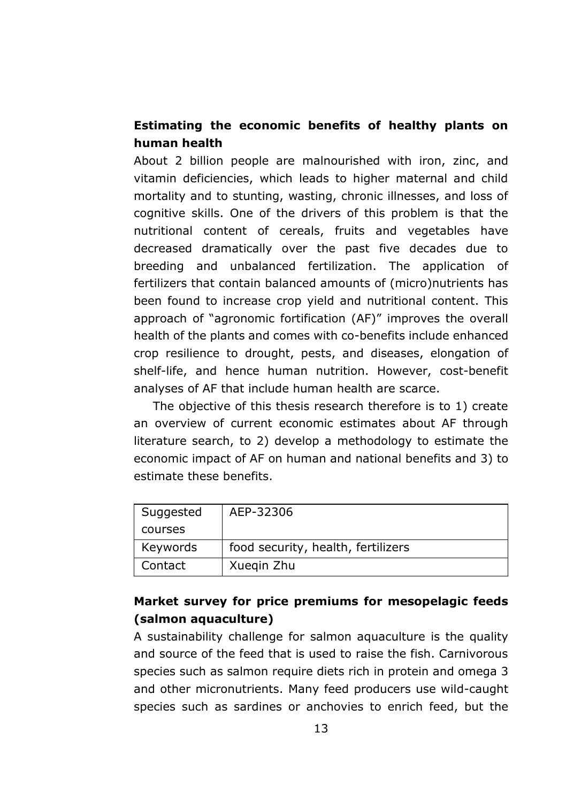## **Estimating the economic benefits of healthy plants on human health**

About 2 billion people are malnourished with iron, zinc, and vitamin deficiencies, which leads to higher maternal and child mortality and to stunting, wasting, chronic illnesses, and loss of cognitive skills. One of the drivers of this problem is that the nutritional content of cereals, fruits and vegetables have decreased dramatically over the past five decades due to breeding and unbalanced fertilization. The application of fertilizers that contain balanced amounts of (micro)nutrients has been found to increase crop yield and nutritional content. This approach of "agronomic fortification (AF)" improves the overall health of the plants and comes with co-benefits include enhanced crop resilience to drought, pests, and diseases, elongation of shelf-life, and hence human nutrition. However, cost-benefit analyses of AF that include human health are scarce.

The objective of this thesis research therefore is to 1) create an overview of current economic estimates about AF through literature search, to 2) develop a methodology to estimate the economic impact of AF on human and national benefits and 3) to estimate these benefits.

| Suggested | AEP-32306                          |
|-----------|------------------------------------|
| courses   |                                    |
| Keywords  | food security, health, fertilizers |
| Contact   | Xuegin Zhu                         |

# **Market survey for price premiums for mesopelagic feeds (salmon aquaculture)**

A sustainability challenge for salmon aquaculture is the quality and source of the feed that is used to raise the fish. Carnivorous species such as salmon require diets rich in protein and omega 3 and other micronutrients. Many feed producers use wild-caught species such as sardines or anchovies to enrich feed, but the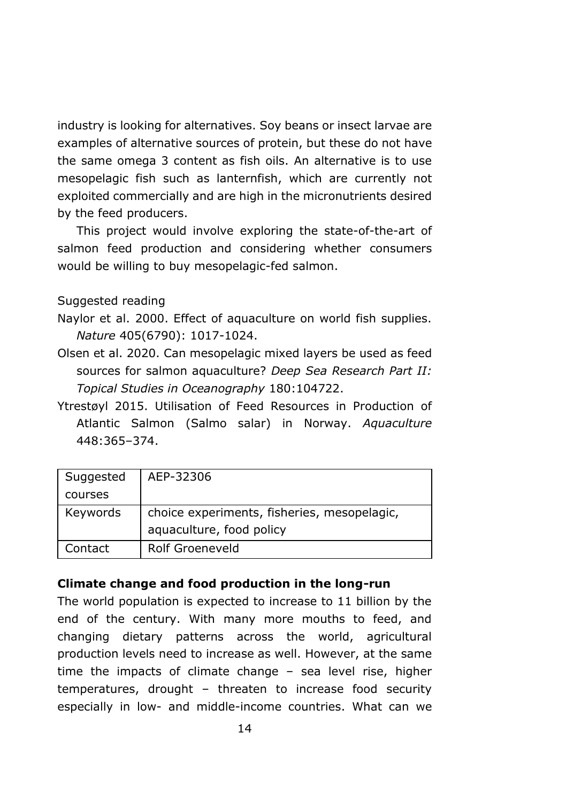industry is looking for alternatives. Soy beans or insect larvae are examples of alternative sources of protein, but these do not have the same omega 3 content as fish oils. An alternative is to use mesopelagic fish such as lanternfish, which are currently not exploited commercially and are high in the micronutrients desired by the feed producers.

This project would involve exploring the state-of-the-art of salmon feed production and considering whether consumers would be willing to buy mesopelagic-fed salmon.

Suggested reading

- Naylor et al. 2000. Effect of aquaculture on world fish supplies. *Nature* 405(6790): 1017-1024.
- Olsen et al. 2020. Can mesopelagic mixed layers be used as feed sources for salmon aquaculture? *Deep Sea Research Part II: Topical Studies in Oceanography* 180:104722.
- Ytrestøyl 2015. Utilisation of Feed Resources in Production of Atlantic Salmon (Salmo salar) in Norway. *Aquaculture* 448:365–374.

| Suggested | AEP-32306                                   |
|-----------|---------------------------------------------|
| courses   |                                             |
| Keywords  | choice experiments, fisheries, mesopelagic, |
|           | aquaculture, food policy                    |
| Contact   | Rolf Groeneveld                             |

### **Climate change and food production in the long-run**

The world population is expected to increase to 11 billion by the end of the century. With many more mouths to feed, and changing dietary patterns across the world, agricultural production levels need to increase as well. However, at the same time the impacts of climate change – sea level rise, higher temperatures, drought – threaten to increase food security especially in low- and middle-income countries. What can we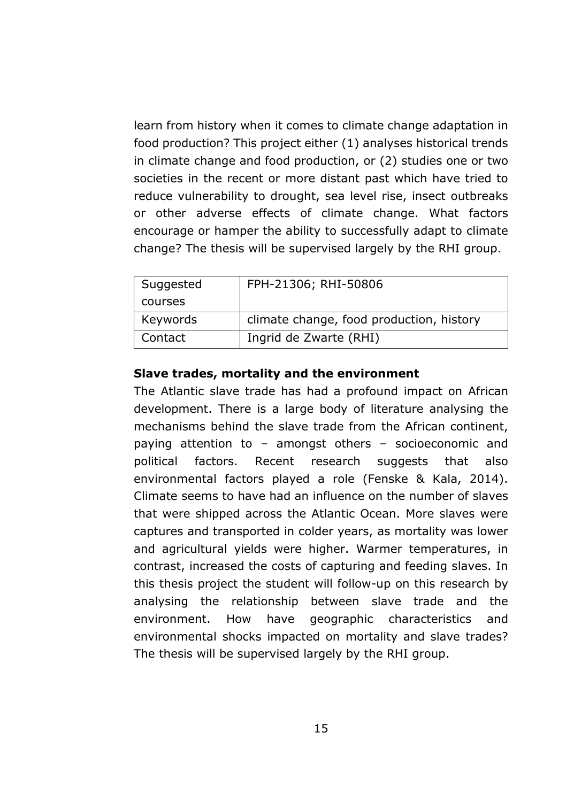learn from history when it comes to climate change adaptation in food production? This project either (1) analyses historical trends in climate change and food production, or (2) studies one or two societies in the recent or more distant past which have tried to reduce vulnerability to drought, sea level rise, insect outbreaks or other adverse effects of climate change. What factors encourage or hamper the ability to successfully adapt to climate change? The thesis will be supervised largely by the RHI group.

| Suggested | FPH-21306; RHI-50806                     |
|-----------|------------------------------------------|
| courses   |                                          |
| Keywords  | climate change, food production, history |
| Contact   | Ingrid de Zwarte (RHI)                   |

#### **Slave trades, mortality and the environment**

The Atlantic slave trade has had a profound impact on African development. There is a large body of literature analysing the mechanisms behind the slave trade from the African continent, paying attention to – amongst others – socioeconomic and political factors. Recent research suggests that also environmental factors played a role (Fenske & Kala, 2014). Climate seems to have had an influence on the number of slaves that were shipped across the Atlantic Ocean. More slaves were captures and transported in colder years, as mortality was lower and agricultural yields were higher. Warmer temperatures, in contrast, increased the costs of capturing and feeding slaves. In this thesis project the student will follow-up on this research by analysing the relationship between slave trade and the environment. How have geographic characteristics and environmental shocks impacted on mortality and slave trades? The thesis will be supervised largely by the RHI group.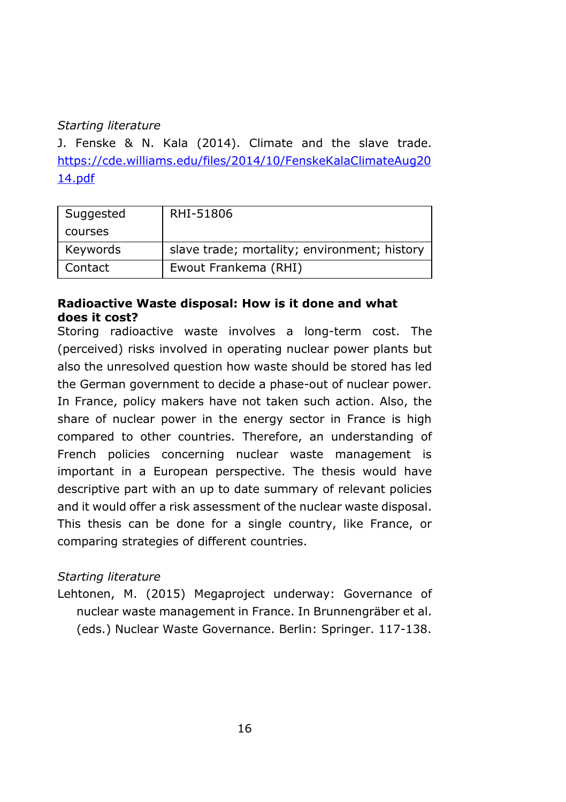### *Starting literature*

J. Fenske & N. Kala (2014). Climate and the slave trade. [https://cde.williams.edu/files/2014/10/FenskeKalaClimateAug20](https://cde.williams.edu/files/2014/10/FenskeKalaClimateAug2014.pdf) [14.pdf](https://cde.williams.edu/files/2014/10/FenskeKalaClimateAug2014.pdf)

| Suggested | RHI-51806                                    |
|-----------|----------------------------------------------|
| courses   |                                              |
| Keywords  | slave trade; mortality; environment; history |
| Contact   | Ewout Frankema (RHI)                         |

### **Radioactive Waste disposal: How is it done and what does it cost?**

Storing radioactive waste involves a long-term cost. The (perceived) risks involved in operating nuclear power plants but also the unresolved question how waste should be stored has led the German government to decide a phase-out of nuclear power. In France, policy makers have not taken such action. Also, the share of nuclear power in the energy sector in France is high compared to other countries. Therefore, an understanding of French policies concerning nuclear waste management is important in a European perspective. The thesis would have descriptive part with an up to date summary of relevant policies and it would offer a risk assessment of the nuclear waste disposal. This thesis can be done for a single country, like France, or comparing strategies of different countries.

### *Starting literature*

Lehtonen, M. (2015) Megaproject underway: Governance of nuclear waste management in France. In Brunnengräber et al. (eds.) Nuclear Waste Governance. Berlin: Springer. 117-138.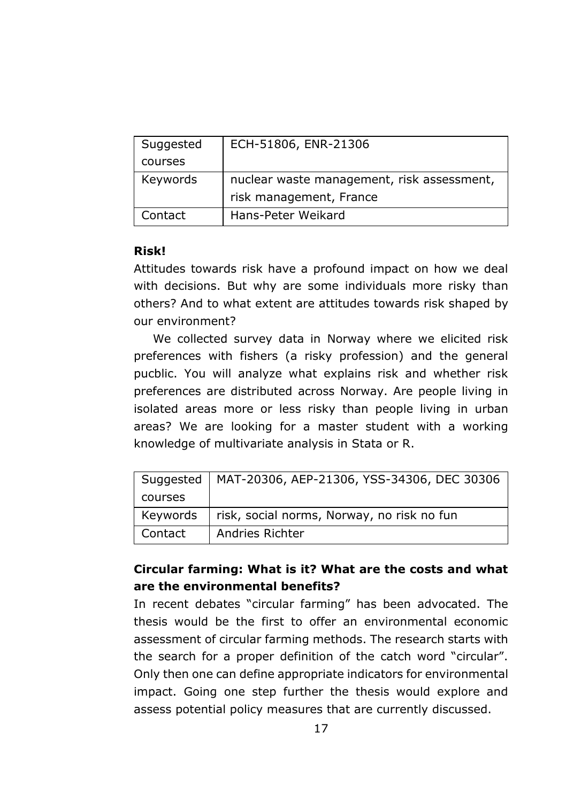| Suggested | ECH-51806, ENR-21306                       |
|-----------|--------------------------------------------|
| courses   |                                            |
| Keywords  | nuclear waste management, risk assessment, |
|           | risk management, France                    |
| Contact   | Hans-Peter Weikard                         |

### **Risk!**

Attitudes towards risk have a profound impact on how we deal with decisions. But why are some individuals more risky than others? And to what extent are attitudes towards risk shaped by our environment?

We collected survey data in Norway where we elicited risk preferences with fishers (a risky profession) and the general pucblic. You will analyze what explains risk and whether risk preferences are distributed across Norway. Are people living in isolated areas more or less risky than people living in urban areas? We are looking for a master student with a working knowledge of multivariate analysis in Stata or R.

| Suggested | MAT-20306, AEP-21306, YSS-34306, DEC 30306 |
|-----------|--------------------------------------------|
| courses   |                                            |
| Keywords  | risk, social norms, Norway, no risk no fun |
| Contact   | Andries Richter                            |

# **Circular farming: What is it? What are the costs and what are the environmental benefits?**

In recent debates "circular farming" has been advocated. The thesis would be the first to offer an environmental economic assessment of circular farming methods. The research starts with the search for a proper definition of the catch word "circular". Only then one can define appropriate indicators for environmental impact. Going one step further the thesis would explore and assess potential policy measures that are currently discussed.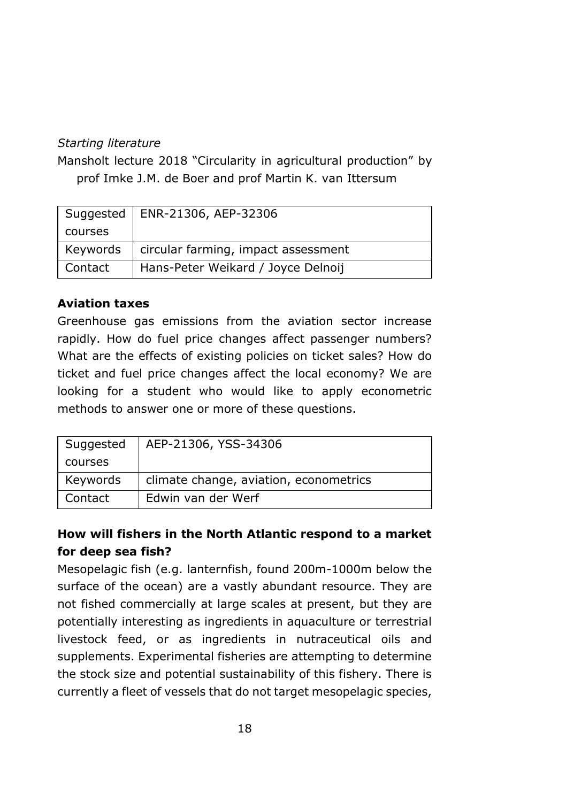### *Starting literature*

Mansholt lecture 2018 "Circularity in agricultural production" by prof Imke J.M. de Boer and prof Martin K. van Ittersum

|          | Suggested   ENR-21306, AEP-32306    |
|----------|-------------------------------------|
| courses  |                                     |
| Keywords | circular farming, impact assessment |
| Contact  | Hans-Peter Weikard / Joyce Delnoij  |

### **Aviation taxes**

Greenhouse gas emissions from the aviation sector increase rapidly. How do fuel price changes affect passenger numbers? What are the effects of existing policies on ticket sales? How do ticket and fuel price changes affect the local economy? We are looking for a student who would like to apply econometric methods to answer one or more of these questions.

| Suggested | AEP-21306, YSS-34306                   |
|-----------|----------------------------------------|
| courses   |                                        |
| Keywords  | climate change, aviation, econometrics |
| Contact   | Edwin van der Werf                     |

# **How will fishers in the North Atlantic respond to a market for deep sea fish?**

Mesopelagic fish (e.g. lanternfish, found 200m-1000m below the surface of the ocean) are a vastly abundant resource. They are not fished commercially at large scales at present, but they are potentially interesting as ingredients in aquaculture or terrestrial livestock feed, or as ingredients in nutraceutical oils and supplements. Experimental fisheries are attempting to determine the stock size and potential sustainability of this fishery. There is currently a fleet of vessels that do not target mesopelagic species,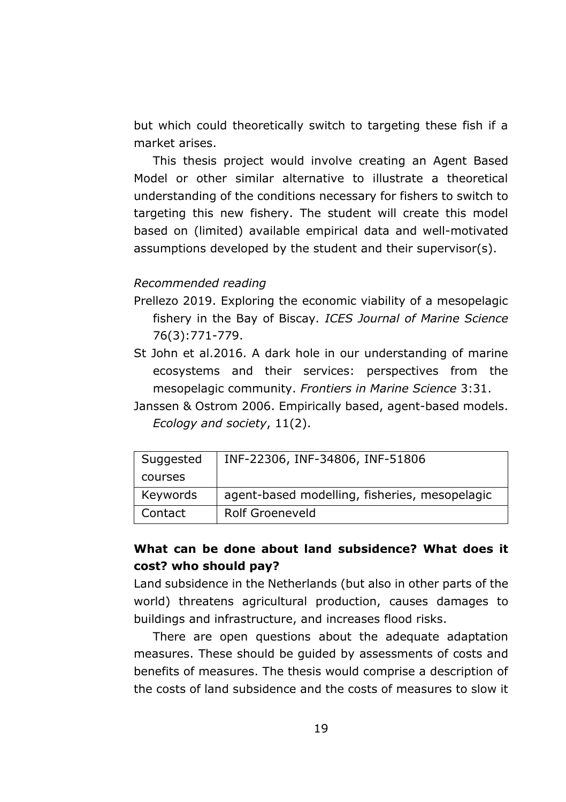but which could theoretically switch to targeting these fish if a market arises.

This thesis project would involve creating an Agent Based Model or other similar alternative to illustrate a theoretical understanding of the conditions necessary for fishers to switch to targeting this new fishery. The student will create this model based on (limited) available empirical data and well-motivated assumptions developed by the student and their supervisor(s).

#### *Recommended reading*

- Prellezo 2019. Exploring the economic viability of a mesopelagic fishery in the Bay of Biscay. *ICES Journal of Marine Science* 76(3):771-779.
- St John et al.2016. A dark hole in our understanding of marine ecosystems and their services: perspectives from the mesopelagic community. *Frontiers in Marine Science* 3:31.
- Janssen & Ostrom 2006. Empirically based, agent-based models. *Ecology and society*, 11(2).

| Suggested | INF-22306, INF-34806, INF-51806               |
|-----------|-----------------------------------------------|
| courses   |                                               |
| Keywords  | agent-based modelling, fisheries, mesopelagic |
| Contact   | Rolf Groeneveld                               |

# **What can be done about land subsidence? What does it cost? who should pay?**

Land subsidence in the Netherlands (but also in other parts of the world) threatens agricultural production, causes damages to buildings and infrastructure, and increases flood risks.

There are open questions about the adequate adaptation measures. These should be guided by assessments of costs and benefits of measures. The thesis would comprise a description of the costs of land subsidence and the costs of measures to slow it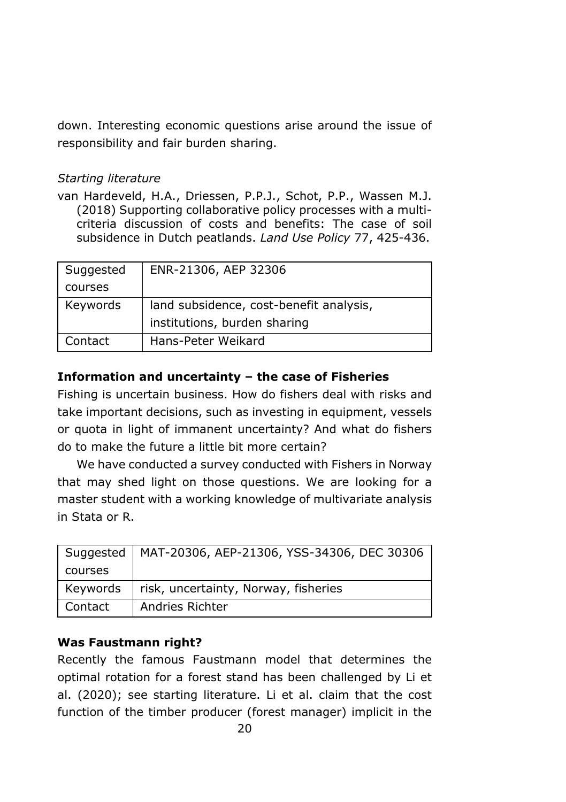down. Interesting economic questions arise around the issue of responsibility and fair burden sharing.

### *Starting literature*

van Hardeveld, H.A., Driessen, P.P.J., Schot, P.P., Wassen M.J. (2018) Supporting collaborative policy processes with a multicriteria discussion of costs and benefits: The case of soil subsidence in Dutch peatlands. *Land Use Policy* 77, 425-436.

| Suggested | ENR-21306, AEP 32306                    |
|-----------|-----------------------------------------|
| courses   |                                         |
| Keywords  | land subsidence, cost-benefit analysis, |
|           | institutions, burden sharing            |
| Contact   | Hans-Peter Weikard                      |

# **Information and uncertainty – the case of Fisheries**

Fishing is uncertain business. How do fishers deal with risks and take important decisions, such as investing in equipment, vessels or quota in light of immanent uncertainty? And what do fishers do to make the future a little bit more certain?

We have conducted a survey conducted with Fishers in Norway that may shed light on those questions. We are looking for a master student with a working knowledge of multivariate analysis in Stata or R.

| Suggested | MAT-20306, AEP-21306, YSS-34306, DEC 30306 |
|-----------|--------------------------------------------|
| courses   |                                            |
| Keywords  | risk, uncertainty, Norway, fisheries       |
| Contact   | Andries Richter                            |

# **Was Faustmann right?**

Recently the famous Faustmann model that determines the optimal rotation for a forest stand has been challenged by Li et al. (2020); see starting literature. Li et al. claim that the cost function of the timber producer (forest manager) implicit in the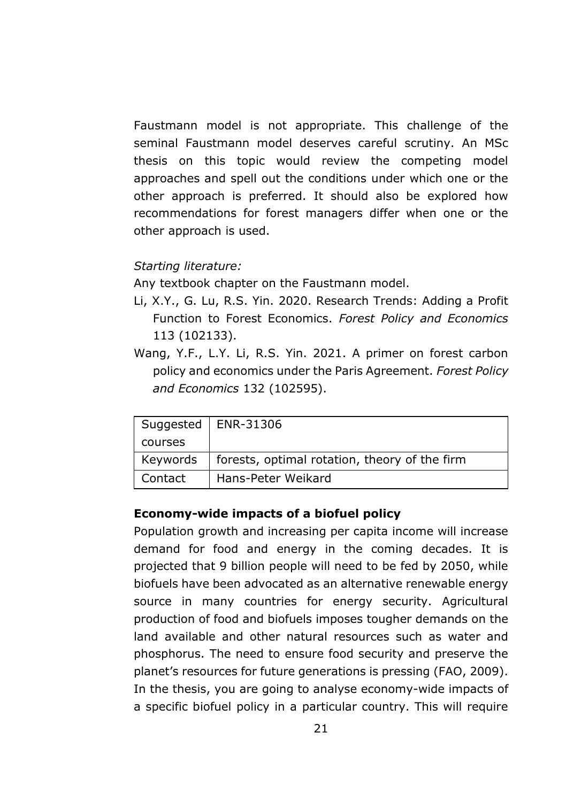Faustmann model is not appropriate. This challenge of the seminal Faustmann model deserves careful scrutiny. An MSc thesis on this topic would review the competing model approaches and spell out the conditions under which one or the other approach is preferred. It should also be explored how recommendations for forest managers differ when one or the other approach is used.

#### *Starting literature:*

Any textbook chapter on the Faustmann model.

- Li, X.Y., G. Lu, R.S. Yin. 2020. Research Trends: Adding a Profit Function to Forest Economics. *Forest Policy and Economics* 113 (102133).
- Wang, Y.F., L.Y. Li, R.S. Yin. 2021. A primer on forest carbon policy and economics under the Paris Agreement. *Forest Policy and Economics* 132 (102595).

|          | Suggested   ENR-31306                         |
|----------|-----------------------------------------------|
| courses  |                                               |
| Keywords | forests, optimal rotation, theory of the firm |
| Contact  | Hans-Peter Weikard                            |

#### **Economy-wide impacts of a biofuel policy**

Population growth and increasing per capita income will increase demand for food and energy in the coming decades. It is projected that 9 billion people will need to be fed by 2050, while biofuels have been advocated as an alternative renewable energy source in many countries for energy security. Agricultural production of food and biofuels imposes tougher demands on the land available and other natural resources such as water and phosphorus. The need to ensure food security and preserve the planet's resources for future generations is pressing (FAO, 2009). In the thesis, you are going to analyse economy-wide impacts of a specific biofuel policy in a particular country. This will require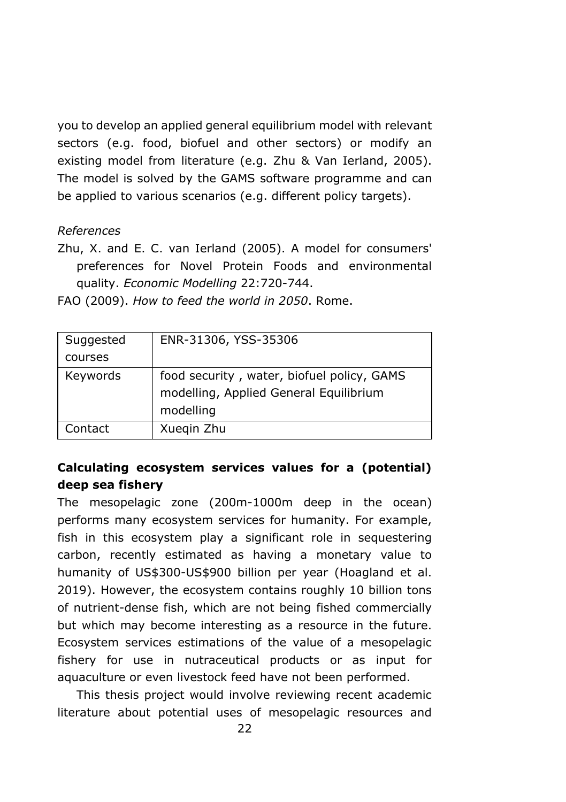you to develop an applied general equilibrium model with relevant sectors (e.g. food, biofuel and other sectors) or modify an existing model from literature (e.g. Zhu & Van Ierland, 2005). The model is solved by the GAMS software programme and can be applied to various scenarios (e.g. different policy targets).

### *References*

Zhu, X. and E. C. van Ierland (2005). A model for consumers' preferences for Novel Protein Foods and environmental quality. *Economic Modelling* 22:720-744.

| FAO (2009). How to feed the world in 2050. Rome. |  |  |  |  |  |  |  |  |  |  |
|--------------------------------------------------|--|--|--|--|--|--|--|--|--|--|
|--------------------------------------------------|--|--|--|--|--|--|--|--|--|--|

| Suggested | ENR-31306, YSS-35306                                                                              |
|-----------|---------------------------------------------------------------------------------------------------|
| courses   |                                                                                                   |
| Keywords  | food security, water, biofuel policy, GAMS<br>modelling, Applied General Equilibrium<br>modelling |
| Contact   | Xuegin Zhu                                                                                        |

# **Calculating ecosystem services values for a (potential) deep sea fishery**

The mesopelagic zone (200m-1000m deep in the ocean) performs many ecosystem services for humanity. For example, fish in this ecosystem play a significant role in sequestering carbon, recently estimated as having a monetary value to humanity of US\$300-US\$900 billion per year (Hoagland et al. 2019). However, the ecosystem contains roughly 10 billion tons of nutrient-dense fish, which are not being fished commercially but which may become interesting as a resource in the future. Ecosystem services estimations of the value of a mesopelagic fishery for use in nutraceutical products or as input for aquaculture or even livestock feed have not been performed.

This thesis project would involve reviewing recent academic literature about potential uses of mesopelagic resources and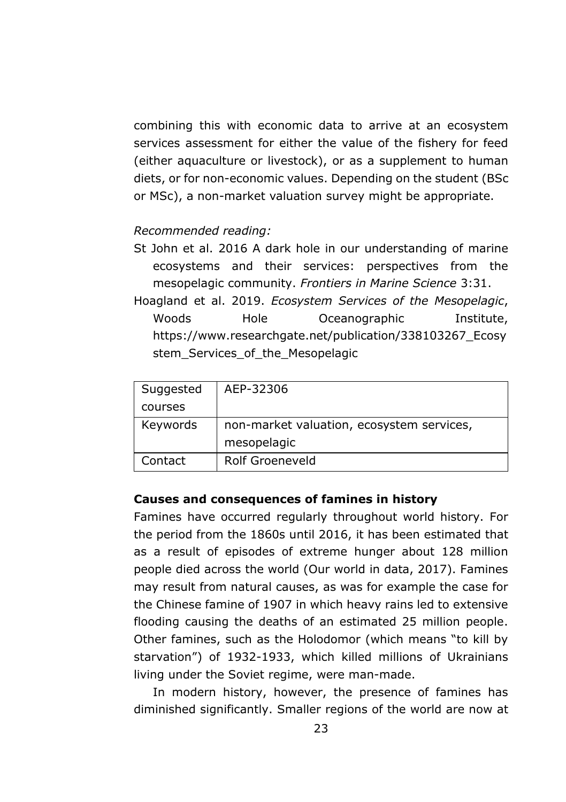combining this with economic data to arrive at an ecosystem services assessment for either the value of the fishery for feed (either aquaculture or livestock), or as a supplement to human diets, or for non-economic values. Depending on the student (BSc or MSc), a non-market valuation survey might be appropriate.

#### *Recommended reading:*

- St John et al. 2016 A dark hole in our understanding of marine ecosystems and their services: perspectives from the mesopelagic community. *Frontiers in Marine Science* 3:31.
- Hoagland et al. 2019. *Ecosystem Services of the Mesopelagic*, Woods Hole Oceanographic Institute, https://www.researchgate.net/publication/338103267\_Ecosy stem Services of the Mesopelagic

| Suggested | AEP-32306                                 |
|-----------|-------------------------------------------|
| courses   |                                           |
| Keywords  | non-market valuation, ecosystem services, |
|           | mesopelagic                               |
| Contact   | Rolf Groeneveld                           |

### **Causes and consequences of famines in history**

Famines have occurred regularly throughout world history. For the period from the 1860s until 2016, it has been estimated that as a result of episodes of extreme hunger about 128 million people died across the world (Our world in data, 2017). Famines may result from natural causes, as was for example the case for the Chinese famine of 1907 in which heavy rains led to extensive flooding causing the deaths of an estimated 25 million people. Other famines, such as the Holodomor (which means "to kill by starvation") of 1932-1933, which killed millions of Ukrainians living under the Soviet regime, were man-made.

In modern history, however, the presence of famines has diminished significantly. Smaller regions of the world are now at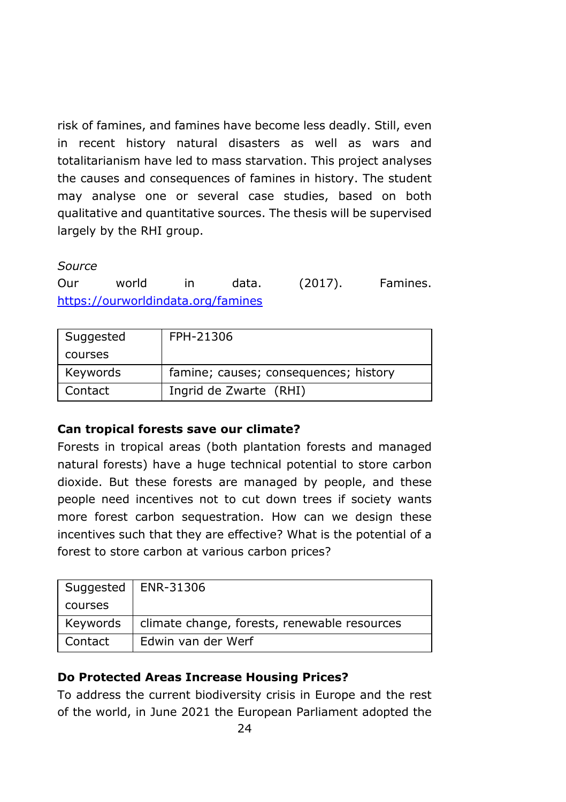risk of famines, and famines have become less deadly. Still, even in recent history natural disasters as well as wars and totalitarianism have led to mass starvation. This project analyses the causes and consequences of famines in history. The student may analyse one or several case studies, based on both qualitative and quantitative sources. The thesis will be supervised largely by the RHI group.

### *Source*

Our world in data. (2017). Famines. <https://ourworldindata.org/famines>

| Suggested | FPH-21306                             |
|-----------|---------------------------------------|
| courses   |                                       |
| Keywords  | famine; causes; consequences; history |
| Contact   | Ingrid de Zwarte (RHI)                |

### **Can tropical forests save our climate?**

Forests in tropical areas (both plantation forests and managed natural forests) have a huge technical potential to store carbon dioxide. But these forests are managed by people, and these people need incentives not to cut down trees if society wants more forest carbon sequestration. How can we design these incentives such that they are effective? What is the potential of a forest to store carbon at various carbon prices?

|          | Suggested   ENR-31306                        |
|----------|----------------------------------------------|
| courses  |                                              |
| Keywords | climate change, forests, renewable resources |
| Contact  | Edwin van der Werf                           |

# **Do Protected Areas Increase Housing Prices?**

To address the current biodiversity crisis in Europe and the rest of the world, in June 2021 the European Parliament adopted the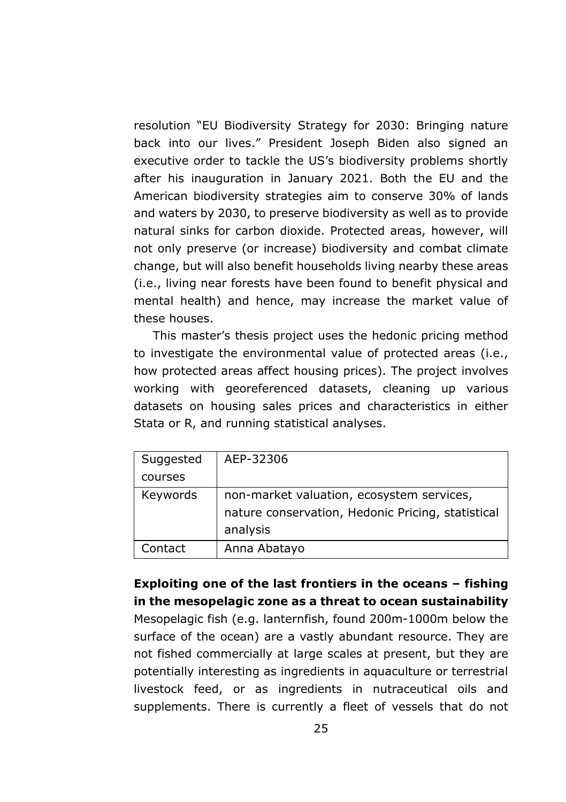resolution "EU Biodiversity Strategy for 2030: Bringing nature back into our lives." President Joseph Biden also signed an executive order to tackle the US's biodiversity problems shortly after his inauguration in January 2021. Both the EU and the American biodiversity strategies aim to conserve 30% of lands and waters by 2030, to preserve biodiversity as well as to provide natural sinks for carbon dioxide. Protected areas, however, will not only preserve (or increase) biodiversity and combat climate change, but will also benefit households living nearby these areas (i.e., living near forests have been found to benefit physical and mental health) and hence, may increase the market value of these houses.

This master's thesis project uses the hedonic pricing method to investigate the environmental value of protected areas (i.e., how protected areas affect housing prices). The project involves working with georeferenced datasets, cleaning up various datasets on housing sales prices and characteristics in either Stata or R, and running statistical analyses.

| Suggested | AEP-32306                                         |
|-----------|---------------------------------------------------|
| courses   |                                                   |
| Keywords  | non-market valuation, ecosystem services,         |
|           | nature conservation, Hedonic Pricing, statistical |
|           | analysis                                          |
| Contact   | Anna Abatayo                                      |

**Exploiting one of the last frontiers in the oceans – fishing in the mesopelagic zone as a threat to ocean sustainability** Mesopelagic fish (e.g. lanternfish, found 200m-1000m below the surface of the ocean) are a vastly abundant resource. They are not fished commercially at large scales at present, but they are potentially interesting as ingredients in aquaculture or terrestrial livestock feed, or as ingredients in nutraceutical oils and supplements. There is currently a fleet of vessels that do not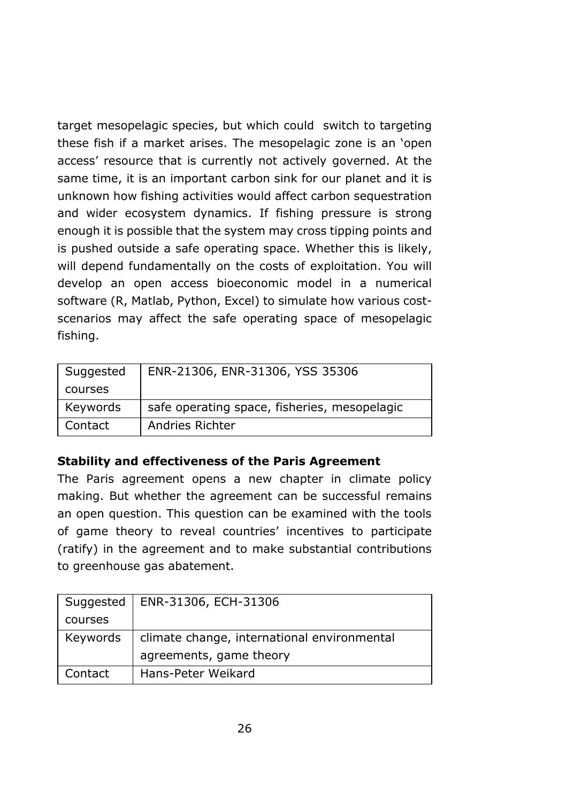target mesopelagic species, but which could switch to targeting these fish if a market arises. The mesopelagic zone is an 'open access' resource that is currently not actively governed. At the same time, it is an important carbon sink for our planet and it is unknown how fishing activities would affect carbon sequestration and wider ecosystem dynamics. If fishing pressure is strong enough it is possible that the system may cross tipping points and is pushed outside a safe operating space. Whether this is likely, will depend fundamentally on the costs of exploitation. You will develop an open access bioeconomic model in a numerical software (R, Matlab, Python, Excel) to simulate how various costscenarios may affect the safe operating space of mesopelagic fishing.

| Suggested | ENR-21306, ENR-31306, YSS 35306              |
|-----------|----------------------------------------------|
| courses   |                                              |
| Keywords  | safe operating space, fisheries, mesopelagic |
| Contact   | Andries Richter                              |

### **Stability and effectiveness of the Paris Agreement**

The Paris agreement opens a new chapter in climate policy making. But whether the agreement can be successful remains an open question. This question can be examined with the tools of game theory to reveal countries' incentives to participate (ratify) in the agreement and to make substantial contributions to greenhouse gas abatement.

| Suggested | ENR-31306, ECH-31306                        |
|-----------|---------------------------------------------|
| courses   |                                             |
| Keywords  | climate change, international environmental |
|           | agreements, game theory                     |
| Contact   | Hans-Peter Weikard                          |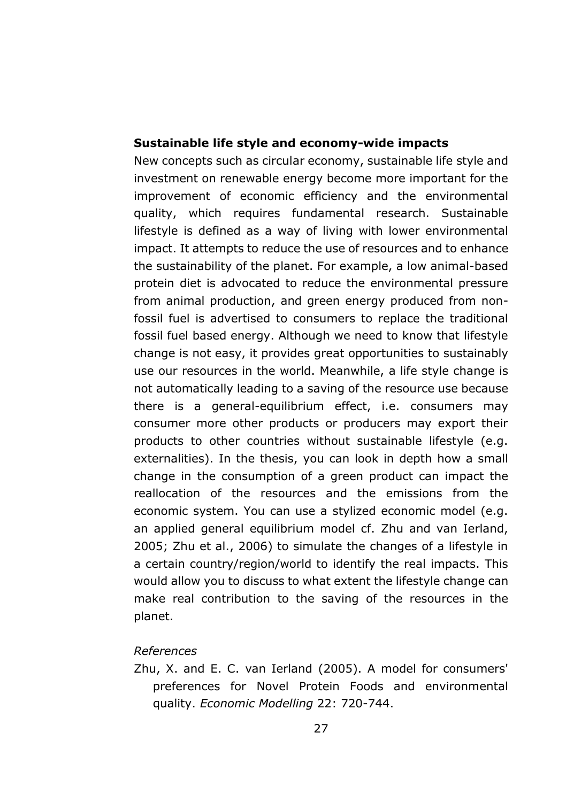#### **Sustainable life style and economy-wide impacts**

New concepts such as circular economy, sustainable life style and investment on renewable energy become more important for the improvement of economic efficiency and the environmental quality, which requires fundamental research. Sustainable lifestyle is defined as a way of living with lower environmental impact. It attempts to reduce the use of resources and to enhance the sustainability of the planet. For example, a low animal-based protein diet is advocated to reduce the environmental pressure from animal production, and green energy produced from nonfossil fuel is advertised to consumers to replace the traditional fossil fuel based energy. Although we need to know that lifestyle change is not easy, it provides great opportunities to sustainably use our resources in the world. Meanwhile, a life style change is not automatically leading to a saving of the resource use because there is a general-equilibrium effect, i.e. consumers may consumer more other products or producers may export their products to other countries without sustainable lifestyle (e.g. externalities). In the thesis, you can look in depth how a small change in the consumption of a green product can impact the reallocation of the resources and the emissions from the economic system. You can use a stylized economic model (e.g. an applied general equilibrium model cf. Zhu and van Ierland, 2005; Zhu et al., 2006) to simulate the changes of a lifestyle in a certain country/region/world to identify the real impacts. This would allow you to discuss to what extent the lifestyle change can make real contribution to the saving of the resources in the planet.

#### *References*

Zhu, X. and E. C. van Ierland (2005). A model for consumers' preferences for Novel Protein Foods and environmental quality. *Economic Modelling* 22: 720-744.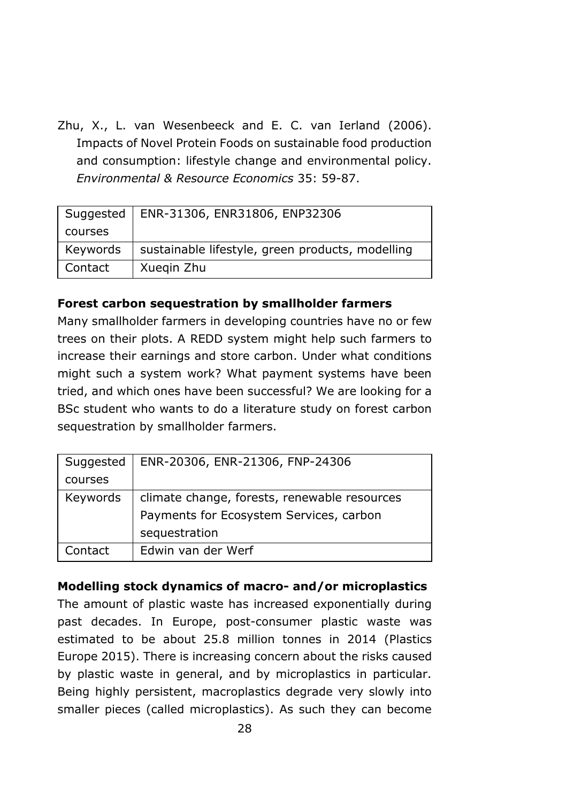Zhu, X., L. van Wesenbeeck and E. C. van Ierland (2006). Impacts of Novel Protein Foods on sustainable food production and consumption: lifestyle change and environmental policy. *Environmental & Resource Economics* 35: 59-87.

| Suggested | ENR-31306, ENR31806, ENP32306                    |
|-----------|--------------------------------------------------|
| courses   |                                                  |
| Keywords  | sustainable lifestyle, green products, modelling |
| Contact   | Xuegin Zhu                                       |

### **Forest carbon sequestration by smallholder farmers**

Many smallholder farmers in developing countries have no or few trees on their plots. A REDD system might help such farmers to increase their earnings and store carbon. Under what conditions might such a system work? What payment systems have been tried, and which ones have been successful? We are looking for a BSc student who wants to do a literature study on forest carbon sequestration by smallholder farmers.

| Suggested | ENR-20306, ENR-21306, FNP-24306              |
|-----------|----------------------------------------------|
| courses   |                                              |
| Keywords  | climate change, forests, renewable resources |
|           | Payments for Ecosystem Services, carbon      |
|           | sequestration                                |
| Contact   | Edwin van der Werf                           |

# **Modelling stock dynamics of macro- and/or microplastics**

The amount of plastic waste has increased exponentially during past decades. In Europe, post-consumer plastic waste was estimated to be about 25.8 million tonnes in 2014 (Plastics Europe 2015). There is increasing concern about the risks caused by plastic waste in general, and by microplastics in particular. Being highly persistent, macroplastics degrade very slowly into smaller pieces (called microplastics). As such they can become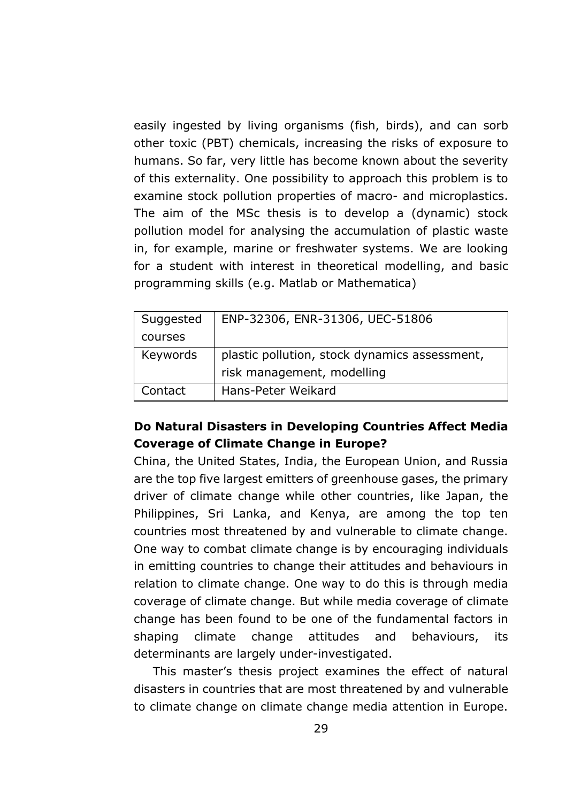easily ingested by living organisms (fish, birds), and can sorb other toxic (PBT) chemicals, increasing the risks of exposure to humans. So far, very little has become known about the severity of this externality. One possibility to approach this problem is to examine stock pollution properties of macro- and microplastics. The aim of the MSc thesis is to develop a (dynamic) stock pollution model for analysing the accumulation of plastic waste in, for example, marine or freshwater systems. We are looking for a student with interest in theoretical modelling, and basic programming skills (e.g. Matlab or Mathematica)

| Suggested | ENP-32306, ENR-31306, UEC-51806                                             |
|-----------|-----------------------------------------------------------------------------|
| courses   |                                                                             |
| Keywords  | plastic pollution, stock dynamics assessment,<br>risk management, modelling |
| Contact   | Hans-Peter Weikard                                                          |

# **Do Natural Disasters in Developing Countries Affect Media Coverage of Climate Change in Europe?**

China, the United States, India, the European Union, and Russia are the top five largest emitters of greenhouse gases, the primary driver of climate change while other countries, like Japan, the Philippines, Sri Lanka, and Kenya, are among the top ten countries most threatened by and vulnerable to climate change. One way to combat climate change is by encouraging individuals in emitting countries to change their attitudes and behaviours in relation to climate change. One way to do this is through media coverage of climate change. But while media coverage of climate change has been found to be one of the fundamental factors in shaping climate change attitudes and behaviours, its determinants are largely under-investigated.

This master's thesis project examines the effect of natural disasters in countries that are most threatened by and vulnerable to climate change on climate change media attention in Europe.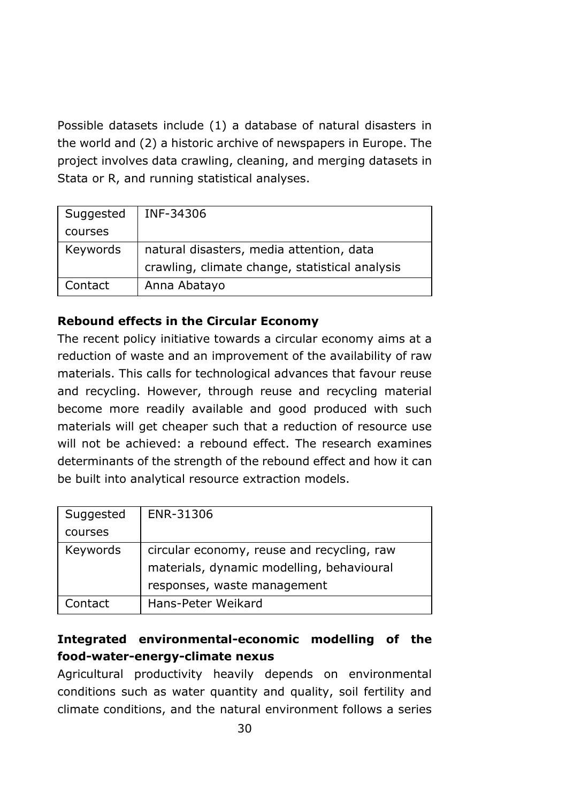Possible datasets include (1) a database of natural disasters in the world and (2) a historic archive of newspapers in Europe. The project involves data crawling, cleaning, and merging datasets in Stata or R, and running statistical analyses.

| Suggested | INF-34306                                                                                  |
|-----------|--------------------------------------------------------------------------------------------|
| courses   |                                                                                            |
| Keywords  | natural disasters, media attention, data<br>crawling, climate change, statistical analysis |
| Contact   | Anna Abatayo                                                                               |

# **Rebound effects in the Circular Economy**

The recent policy initiative towards a circular economy aims at a reduction of waste and an improvement of the availability of raw materials. This calls for technological advances that favour reuse and recycling. However, through reuse and recycling material become more readily available and good produced with such materials will get cheaper such that a reduction of resource use will not be achieved: a rebound effect. The research examines determinants of the strength of the rebound effect and how it can be built into analytical resource extraction models.

| Suggested | ENR-31306                                  |
|-----------|--------------------------------------------|
| courses   |                                            |
| Keywords  | circular economy, reuse and recycling, raw |
|           | materials, dynamic modelling, behavioural  |
|           | responses, waste management                |
| Contact   | Hans-Peter Weikard                         |

# **Integrated environmental-economic modelling of the food-water-energy-climate nexus**

Agricultural productivity heavily depends on environmental conditions such as water quantity and quality, soil fertility and climate conditions, and the natural environment follows a series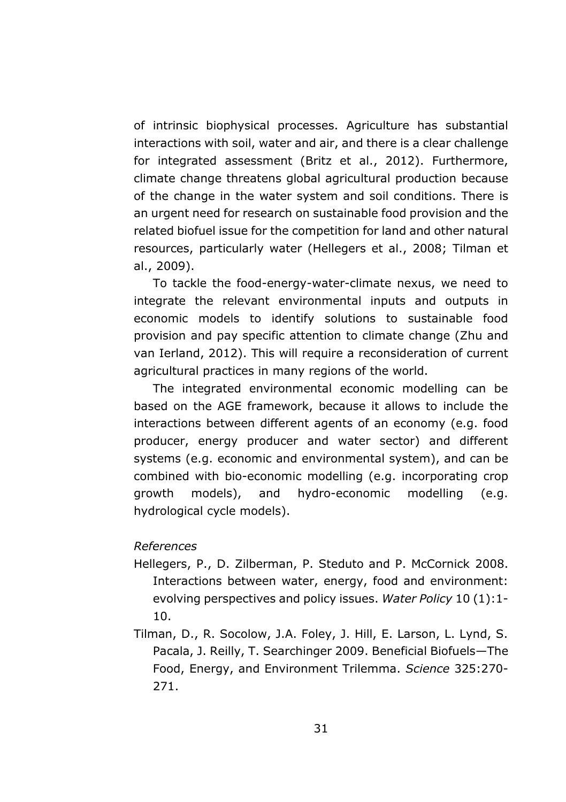of intrinsic biophysical processes. Agriculture has substantial interactions with soil, water and air, and there is a clear challenge for integrated assessment (Britz et al., 2012). Furthermore, climate change threatens global agricultural production because of the change in the water system and soil conditions. There is an urgent need for research on sustainable food provision and the related biofuel issue for the competition for land and other natural resources, particularly water (Hellegers et al., 2008; Tilman et al., 2009).

To tackle the food-energy-water-climate nexus, we need to integrate the relevant environmental inputs and outputs in economic models to identify solutions to sustainable food provision and pay specific attention to climate change (Zhu and van Ierland, 2012). This will require a reconsideration of current agricultural practices in many regions of the world.

The integrated environmental economic modelling can be based on the AGE framework, because it allows to include the interactions between different agents of an economy (e.g. food producer, energy producer and water sector) and different systems (e.g. economic and environmental system), and can be combined with bio-economic modelling (e.g. incorporating crop growth models), and hydro-economic modelling (e.g. hydrological cycle models).

#### *References*

- Hellegers, P., D. Zilberman, P. Steduto and P. McCornick 2008. Interactions between water, energy, food and environment: evolving perspectives and policy issues. *Water Policy* 10 (1):1- 10.
- Tilman, D., R. Socolow, J.A. Foley, J. Hill, E. Larson, L. Lynd, S. Pacala, J. Reilly, T. Searchinger 2009. Beneficial Biofuels—The Food, Energy, and Environment Trilemma. *Science* 325:270- 271.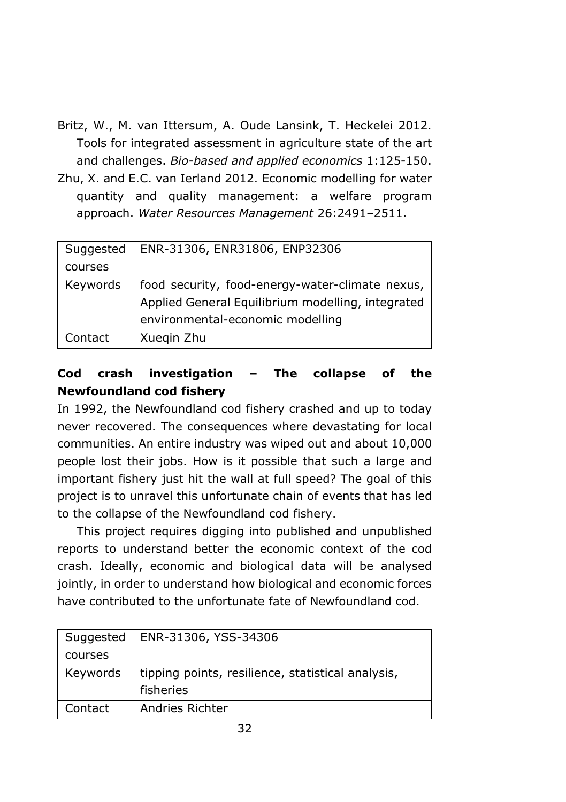- Britz, W., M. van Ittersum, A. Oude Lansink, T. Heckelei 2012. Tools for integrated assessment in agriculture state of the art and challenges. *Bio-based and applied economics* 1:125-150.
- Zhu, X. and E.C. van Ierland 2012. Economic modelling for water quantity and quality management: a welfare program approach. *Water Resources Management* 26:2491–2511.

| Suggested | ENR-31306, ENR31806, ENP32306                     |
|-----------|---------------------------------------------------|
| courses   |                                                   |
| Keywords  | food security, food-energy-water-climate nexus,   |
|           | Applied General Equilibrium modelling, integrated |
|           | environmental-economic modelling                  |
| Contact   | Xuegin Zhu                                        |

# **Cod crash investigation – The collapse of the Newfoundland cod fishery**

In 1992, the Newfoundland cod fishery crashed and up to today never recovered. The consequences where devastating for local communities. An entire industry was wiped out and about 10,000 people lost their jobs. How is it possible that such a large and important fishery just hit the wall at full speed? The goal of this project is to unravel this unfortunate chain of events that has led to the collapse of the Newfoundland cod fishery.

This project requires digging into published and unpublished reports to understand better the economic context of the cod crash. Ideally, economic and biological data will be analysed jointly, in order to understand how biological and economic forces have contributed to the unfortunate fate of Newfoundland cod.

| Suggested | ENR-31306, YSS-34306                              |
|-----------|---------------------------------------------------|
| courses   |                                                   |
| Keywords  | tipping points, resilience, statistical analysis, |
|           | fisheries                                         |
| Contact   | Andries Richter                                   |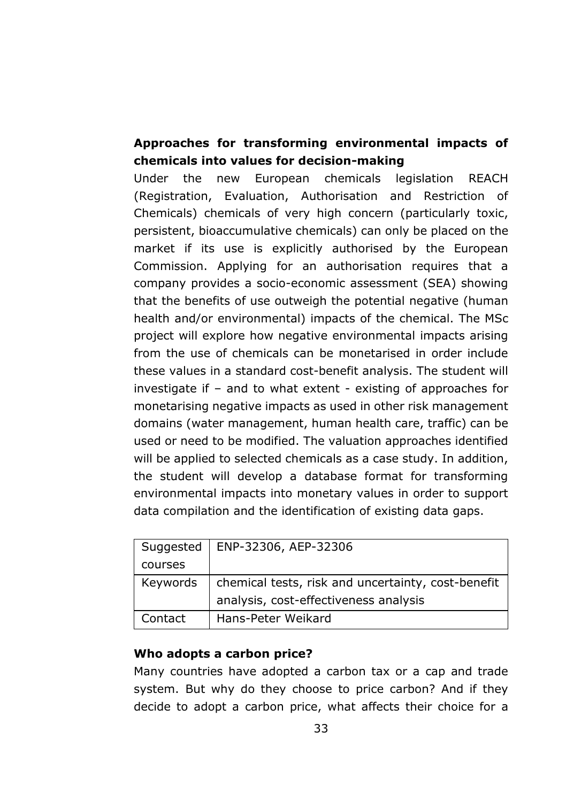# **Approaches for transforming environmental impacts of chemicals into values for decision-making**

Under the new European chemicals legislation REACH (Registration, Evaluation, Authorisation and Restriction of Chemicals) chemicals of very high concern (particularly toxic, persistent, bioaccumulative chemicals) can only be placed on the market if its use is explicitly authorised by the European Commission. Applying for an authorisation requires that a company provides a socio-economic assessment (SEA) showing that the benefits of use outweigh the potential negative (human health and/or environmental) impacts of the chemical. The MSc project will explore how negative environmental impacts arising from the use of chemicals can be monetarised in order include these values in a standard cost-benefit analysis. The student will investigate if – and to what extent - existing of approaches for monetarising negative impacts as used in other risk management domains (water management, human health care, traffic) can be used or need to be modified. The valuation approaches identified will be applied to selected chemicals as a case study. In addition, the student will develop a database format for transforming environmental impacts into monetary values in order to support data compilation and the identification of existing data gaps.

| Suggested | ENP-32306, AEP-32306                               |
|-----------|----------------------------------------------------|
| courses   |                                                    |
| Keywords  | chemical tests, risk and uncertainty, cost-benefit |
|           | analysis, cost-effectiveness analysis              |
| Contact   | Hans-Peter Weikard                                 |

### **Who adopts a carbon price?**

Many countries have adopted a carbon tax or a cap and trade system. But why do they choose to price carbon? And if they decide to adopt a carbon price, what affects their choice for a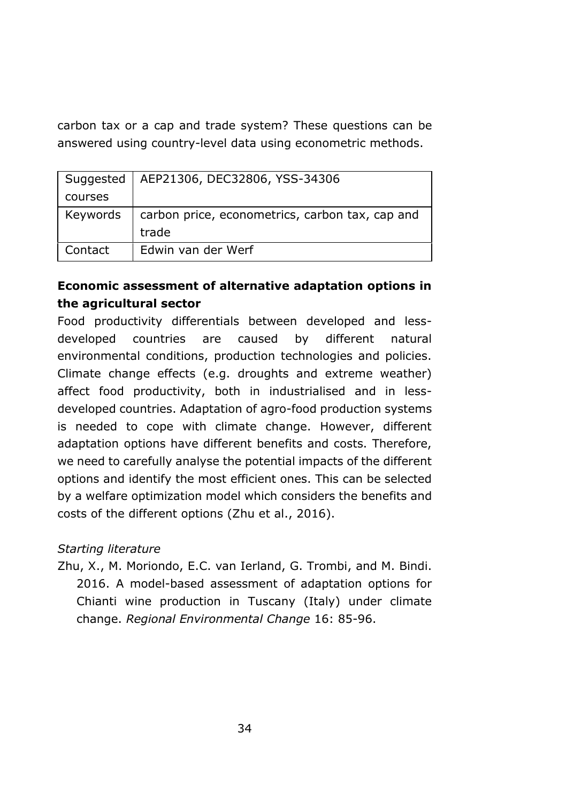carbon tax or a cap and trade system? These questions can be answered using country-level data using econometric methods.

| Suggested | AEP21306, DEC32806, YSS-34306                   |
|-----------|-------------------------------------------------|
| courses   |                                                 |
| Keywords  | carbon price, econometrics, carbon tax, cap and |
|           | trade                                           |
| Contact   | Edwin van der Werf                              |

# **Economic assessment of alternative adaptation options in the agricultural sector**

Food productivity differentials between developed and lessdeveloped countries are caused by different natural environmental conditions, production technologies and policies. Climate change effects (e.g. droughts and extreme weather) affect food productivity, both in industrialised and in lessdeveloped countries. Adaptation of agro-food production systems is needed to cope with climate change. However, different adaptation options have different benefits and costs. Therefore, we need to carefully analyse the potential impacts of the different options and identify the most efficient ones. This can be selected by a welfare optimization model which considers the benefits and costs of the different options (Zhu et al., 2016).

### *Starting literature*

Zhu, X., M. Moriondo, E.C. van Ierland, G. Trombi, and M. Bindi. 2016. A model-based assessment of adaptation options for Chianti wine production in Tuscany (Italy) under climate change. *Regional Environmental Change* 16: 85-96.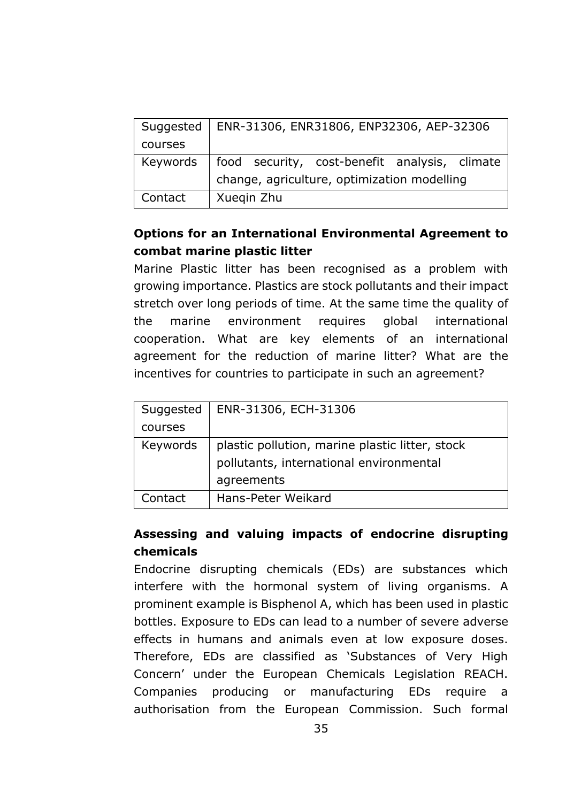| Suggested | ENR-31306, ENR31806, ENP32306, AEP-32306      |
|-----------|-----------------------------------------------|
| courses   |                                               |
| Keywords  | food security, cost-benefit analysis, climate |
|           | change, agriculture, optimization modelling   |
| Contact   | Xueqin Zhu                                    |

# **Options for an International Environmental Agreement to combat marine plastic litter**

Marine Plastic litter has been recognised as a problem with growing importance. Plastics are stock pollutants and their impact stretch over long periods of time. At the same time the quality of the marine environment requires global international cooperation. What are key elements of an international agreement for the reduction of marine litter? What are the incentives for countries to participate in such an agreement?

| Suggested | ENR-31306, ECH-31306                            |
|-----------|-------------------------------------------------|
| courses   |                                                 |
| Keywords  | plastic pollution, marine plastic litter, stock |
|           | pollutants, international environmental         |
|           | agreements                                      |
| Contact   | Hans-Peter Weikard                              |

# **Assessing and valuing impacts of endocrine disrupting chemicals**

Endocrine disrupting chemicals (EDs) are substances which interfere with the hormonal system of living organisms. A prominent example is Bisphenol A, which has been used in plastic bottles. Exposure to EDs can lead to a number of severe adverse effects in humans and animals even at low exposure doses. Therefore, EDs are classified as 'Substances of Very High Concern' under the European Chemicals Legislation REACH. Companies producing or manufacturing EDs require a authorisation from the European Commission. Such formal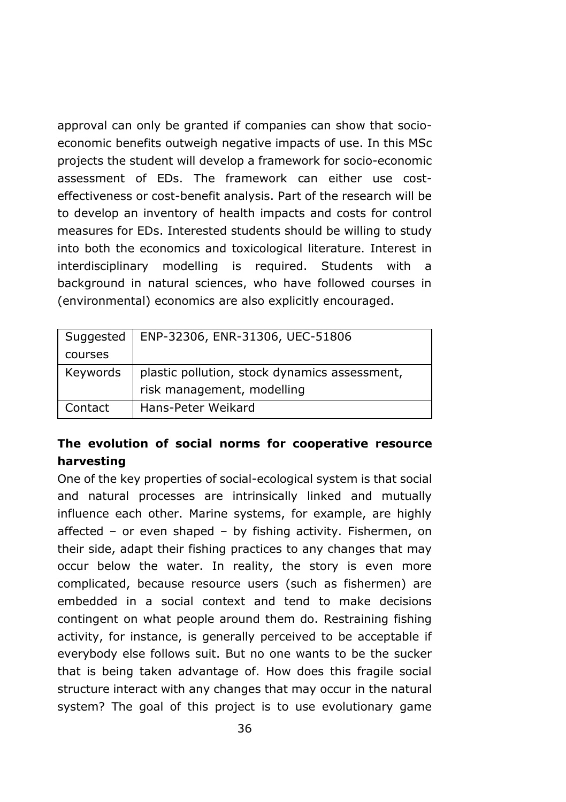approval can only be granted if companies can show that socioeconomic benefits outweigh negative impacts of use. In this MSc projects the student will develop a framework for socio-economic assessment of EDs. The framework can either use costeffectiveness or cost-benefit analysis. Part of the research will be to develop an inventory of health impacts and costs for control measures for EDs. Interested students should be willing to study into both the economics and toxicological literature. Interest in interdisciplinary modelling is required. Students with a background in natural sciences, who have followed courses in (environmental) economics are also explicitly encouraged.

| Suggested | ENP-32306, ENR-31306, UEC-51806               |
|-----------|-----------------------------------------------|
| courses   |                                               |
| Keywords  | plastic pollution, stock dynamics assessment, |
|           | risk management, modelling                    |
| Contact   | Hans-Peter Weikard                            |

# **The evolution of social norms for cooperative resource harvesting**

One of the key properties of social-ecological system is that social and natural processes are intrinsically linked and mutually influence each other. Marine systems, for example, are highly affected – or even shaped – by fishing activity. Fishermen, on their side, adapt their fishing practices to any changes that may occur below the water. In reality, the story is even more complicated, because resource users (such as fishermen) are embedded in a social context and tend to make decisions contingent on what people around them do. Restraining fishing activity, for instance, is generally perceived to be acceptable if everybody else follows suit. But no one wants to be the sucker that is being taken advantage of. How does this fragile social structure interact with any changes that may occur in the natural system? The goal of this project is to use evolutionary game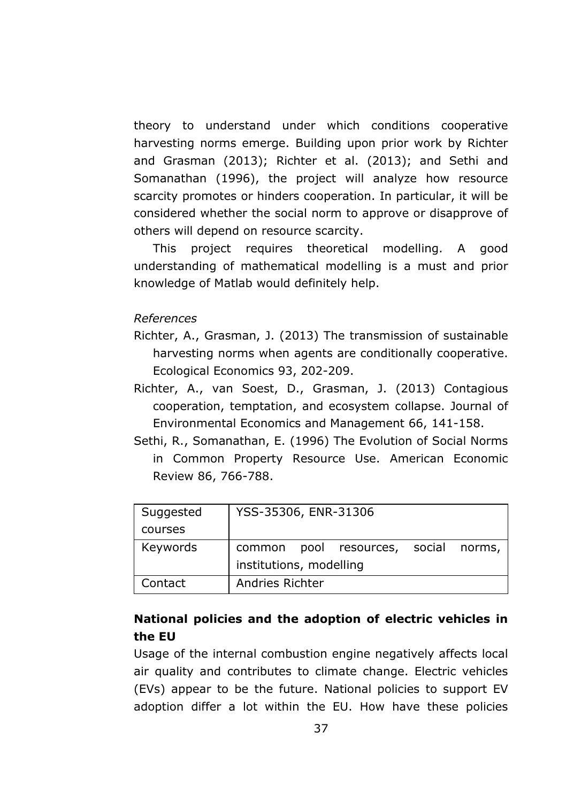theory to understand under which conditions cooperative harvesting norms emerge. Building upon prior work by Richter and Grasman (2013); Richter et al. (2013); and Sethi and Somanathan (1996), the project will analyze how resource scarcity promotes or hinders cooperation. In particular, it will be considered whether the social norm to approve or disapprove of others will depend on resource scarcity.

This project requires theoretical modelling. A good understanding of mathematical modelling is a must and prior knowledge of Matlab would definitely help.

#### *References*

- Richter, A., Grasman, J. (2013) The transmission of sustainable harvesting norms when agents are conditionally cooperative. Ecological Economics 93, 202-209.
- Richter, A., van Soest, D., Grasman, J. (2013) Contagious cooperation, temptation, and ecosystem collapse. Journal of Environmental Economics and Management 66, 141-158.
- Sethi, R., Somanathan, E. (1996) The Evolution of Social Norms in Common Property Resource Use. American Economic Review 86, 766-788.

| Suggested | YSS-35306, ENR-31306                       |
|-----------|--------------------------------------------|
| courses   |                                            |
| Keywords  | pool resources, social<br>norms,<br>common |
|           | institutions, modelling                    |
| Contact   | Andries Richter                            |

### **National policies and the adoption of electric vehicles in the EU**

Usage of the internal combustion engine negatively affects local air quality and contributes to climate change. Electric vehicles (EVs) appear to be the future. National policies to support EV adoption differ a lot within the EU. How have these policies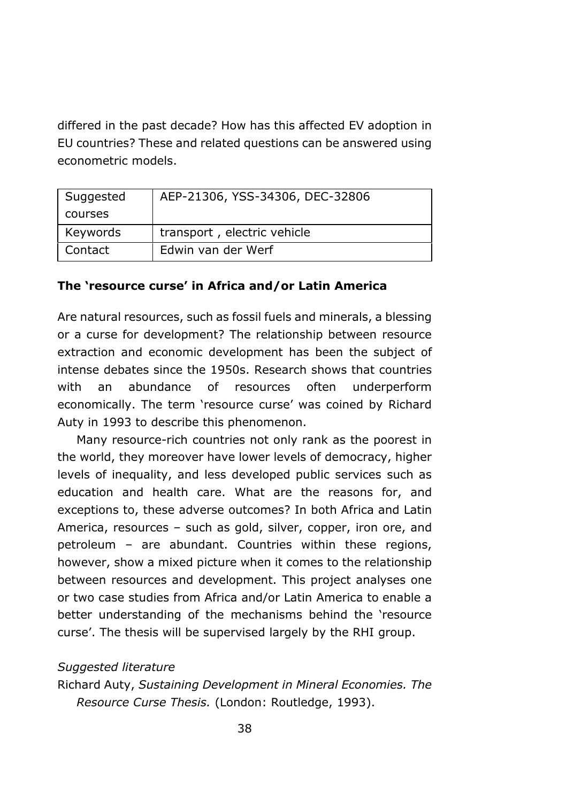differed in the past decade? How has this affected EV adoption in EU countries? These and related questions can be answered using econometric models.

| Suggested | AEP-21306, YSS-34306, DEC-32806 |
|-----------|---------------------------------|
| courses   |                                 |
| Keywords  | transport, electric vehicle     |
| Contact   | Edwin van der Werf              |

#### **The 'resource curse' in Africa and/or Latin America**

Are natural resources, such as fossil fuels and minerals, a blessing or a curse for development? The relationship between resource extraction and economic development has been the subject of intense debates since the 1950s. Research shows that countries with an abundance of resources often underperform economically. The term 'resource curse' was coined by Richard Auty in 1993 to describe this phenomenon.

Many resource-rich countries not only rank as the poorest in the world, they moreover have lower levels of democracy, higher levels of inequality, and less developed public services such as education and health care. What are the reasons for, and exceptions to, these adverse outcomes? In both Africa and Latin America, resources – such as gold, silver, copper, iron ore, and petroleum – are abundant. Countries within these regions, however, show a mixed picture when it comes to the relationship between resources and development. This project analyses one or two case studies from Africa and/or Latin America to enable a better understanding of the mechanisms behind the 'resource curse'. The thesis will be supervised largely by the RHI group.

#### *Suggested literature*

Richard Auty, *Sustaining Development in Mineral Economies. The Resource Curse Thesis.* (London: Routledge, 1993).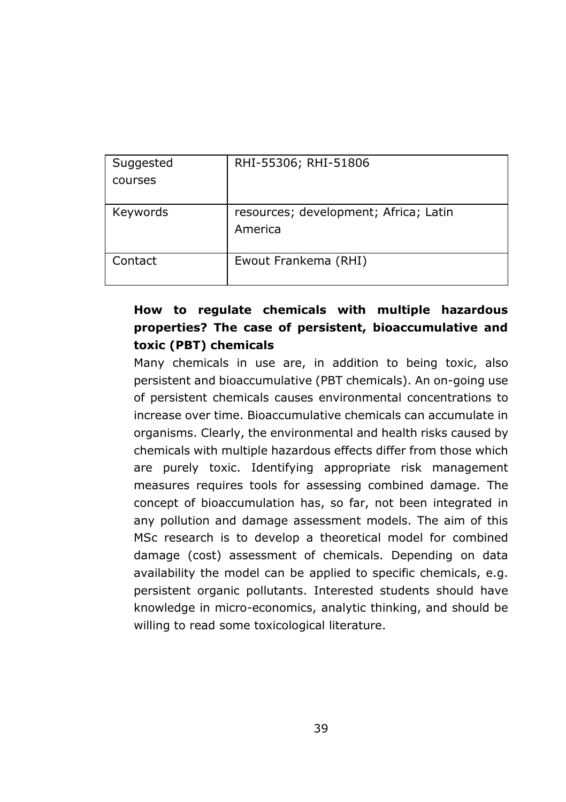| Suggested | RHI-55306; RHI-51806                  |
|-----------|---------------------------------------|
| courses   |                                       |
|           |                                       |
| Keywords  | resources; development; Africa; Latin |
|           | America                               |
|           |                                       |
| Contact   | Ewout Frankema (RHI)                  |
|           |                                       |

# **How to regulate chemicals with multiple hazardous properties? The case of persistent, bioaccumulative and toxic (PBT) chemicals**

Many chemicals in use are, in addition to being toxic, also persistent and bioaccumulative (PBT chemicals). An on-going use of persistent chemicals causes environmental concentrations to increase over time. Bioaccumulative chemicals can accumulate in organisms. Clearly, the environmental and health risks caused by chemicals with multiple hazardous effects differ from those which are purely toxic. Identifying appropriate risk management measures requires tools for assessing combined damage. The concept of bioaccumulation has, so far, not been integrated in any pollution and damage assessment models. The aim of this MSc research is to develop a theoretical model for combined damage (cost) assessment of chemicals. Depending on data availability the model can be applied to specific chemicals, e.g. persistent organic pollutants. Interested students should have knowledge in micro-economics, analytic thinking, and should be willing to read some toxicological literature.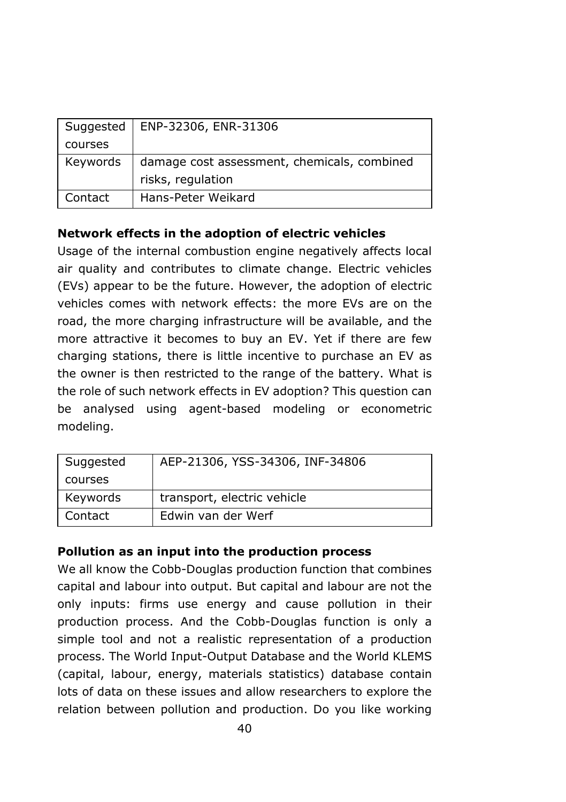|          | Suggested   ENP-32306, ENR-31306            |
|----------|---------------------------------------------|
| courses  |                                             |
| Keywords | damage cost assessment, chemicals, combined |
|          | risks, regulation                           |
| Contact  | Hans-Peter Weikard                          |

### **Network effects in the adoption of electric vehicles**

Usage of the internal combustion engine negatively affects local air quality and contributes to climate change. Electric vehicles (EVs) appear to be the future. However, the adoption of electric vehicles comes with network effects: the more EVs are on the road, the more charging infrastructure will be available, and the more attractive it becomes to buy an EV. Yet if there are few charging stations, there is little incentive to purchase an EV as the owner is then restricted to the range of the battery. What is the role of such network effects in EV adoption? This question can be analysed using agent-based modeling or econometric modeling.

| Suggested | AEP-21306, YSS-34306, INF-34806 |
|-----------|---------------------------------|
| courses   |                                 |
| Keywords  | transport, electric vehicle     |
| Contact   | Edwin van der Werf              |

### **Pollution as an input into the production process**

We all know the Cobb-Douglas production function that combines capital and labour into output. But capital and labour are not the only inputs: firms use energy and cause pollution in their production process. And the Cobb-Douglas function is only a simple tool and not a realistic representation of a production process. The World Input-Output Database and the World KLEMS (capital, labour, energy, materials statistics) database contain lots of data on these issues and allow researchers to explore the relation between pollution and production. Do you like working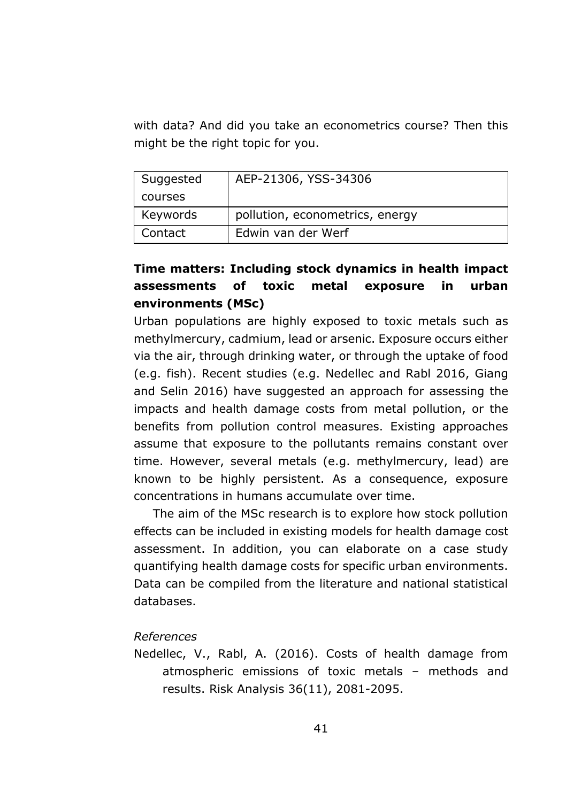with data? And did you take an econometrics course? Then this might be the right topic for you.

| Suggested | AEP-21306, YSS-34306            |
|-----------|---------------------------------|
| courses   |                                 |
| Keywords  | pollution, econometrics, energy |
| Contact   | Edwin van der Werf              |

# **Time matters: Including stock dynamics in health impact assessments of toxic metal exposure in urban environments (MSc)**

Urban populations are highly exposed to toxic metals such as methylmercury, cadmium, lead or arsenic. Exposure occurs either via the air, through drinking water, or through the uptake of food (e.g. fish). Recent studies (e.g. Nedellec and Rabl 2016, Giang and Selin 2016) have suggested an approach for assessing the impacts and health damage costs from metal pollution, or the benefits from pollution control measures. Existing approaches assume that exposure to the pollutants remains constant over time. However, several metals (e.g. methylmercury, lead) are known to be highly persistent. As a consequence, exposure concentrations in humans accumulate over time.

The aim of the MSc research is to explore how stock pollution effects can be included in existing models for health damage cost assessment. In addition, you can elaborate on a case study quantifying health damage costs for specific urban environments. Data can be compiled from the literature and national statistical databases.

### *References*

Nedellec, V., Rabl, A. (2016). Costs of health damage from atmospheric emissions of toxic metals – methods and results. Risk Analysis 36(11), 2081-2095.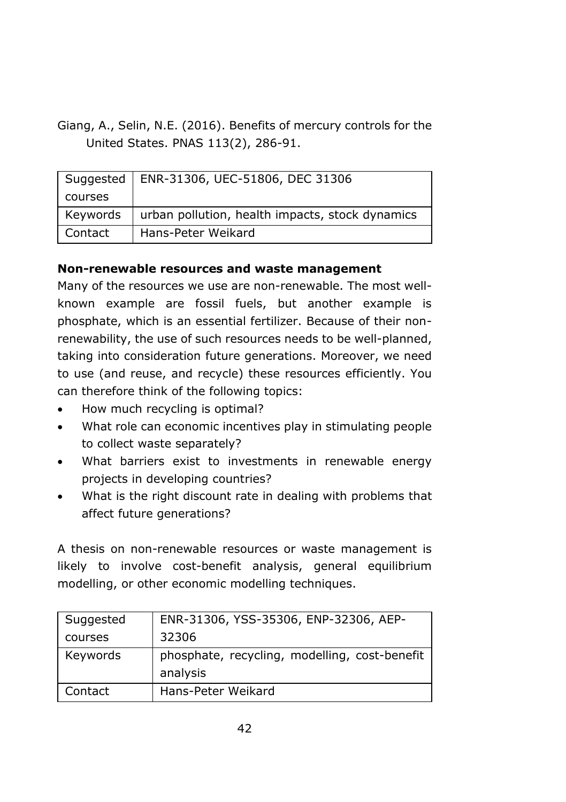Giang, A., Selin, N.E. (2016). Benefits of mercury controls for the United States. PNAS 113(2), 286-91.

| Suggested | ENR-31306, UEC-51806, DEC 31306                 |
|-----------|-------------------------------------------------|
| courses   |                                                 |
| Keywords  | urban pollution, health impacts, stock dynamics |
| Contact   | Hans-Peter Weikard                              |

### **Non-renewable resources and waste management**

Many of the resources we use are non-renewable. The most wellknown example are fossil fuels, but another example is phosphate, which is an essential fertilizer. Because of their nonrenewability, the use of such resources needs to be well-planned, taking into consideration future generations. Moreover, we need to use (and reuse, and recycle) these resources efficiently. You can therefore think of the following topics:

- How much recycling is optimal?
- What role can economic incentives play in stimulating people to collect waste separately?
- What barriers exist to investments in renewable energy projects in developing countries?
- What is the right discount rate in dealing with problems that affect future generations?

A thesis on non-renewable resources or waste management is likely to involve cost-benefit analysis, general equilibrium modelling, or other economic modelling techniques.

| Suggested | ENR-31306, YSS-35306, ENP-32306, AEP-         |
|-----------|-----------------------------------------------|
| courses   | 32306                                         |
| Keywords  | phosphate, recycling, modelling, cost-benefit |
|           | analysis                                      |
| Contact   | Hans-Peter Weikard                            |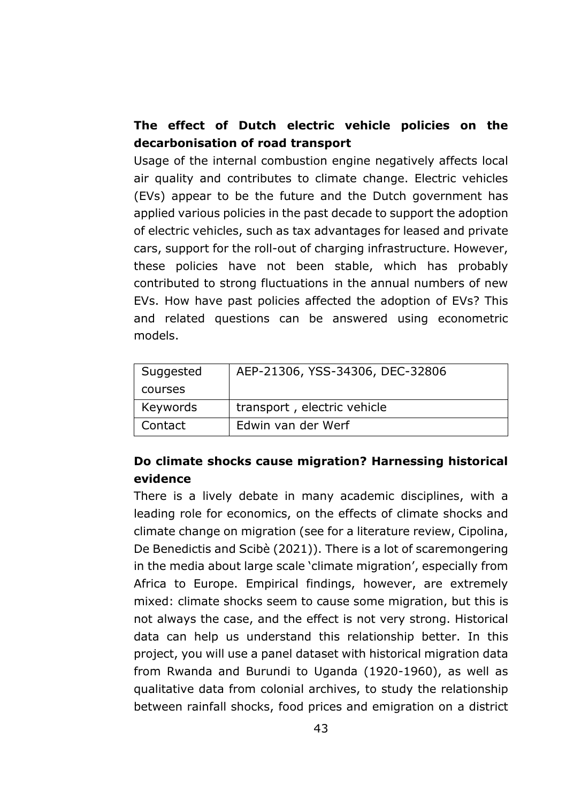# **The effect of Dutch electric vehicle policies on the decarbonisation of road transport**

Usage of the internal combustion engine negatively affects local air quality and contributes to climate change. Electric vehicles (EVs) appear to be the future and the Dutch government has applied various policies in the past decade to support the adoption of electric vehicles, such as tax advantages for leased and private cars, support for the roll-out of charging infrastructure. However, these policies have not been stable, which has probably contributed to strong fluctuations in the annual numbers of new EVs. How have past policies affected the adoption of EVs? This and related questions can be answered using econometric models.

| Suggested | AEP-21306, YSS-34306, DEC-32806 |
|-----------|---------------------------------|
| courses   |                                 |
| Keywords  | transport, electric vehicle     |
| Contact   | Edwin van der Werf              |

# **Do climate shocks cause migration? Harnessing historical evidence**

There is a lively debate in many academic disciplines, with a leading role for economics, on the effects of climate shocks and climate change on migration (see for a literature review, Cipolina, De Benedictis and Scibè (2021)). There is a lot of scaremongering in the media about large scale 'climate migration', especially from Africa to Europe. Empirical findings, however, are extremely mixed: climate shocks seem to cause some migration, but this is not always the case, and the effect is not very strong. Historical data can help us understand this relationship better. In this project, you will use a panel dataset with historical migration data from Rwanda and Burundi to Uganda (1920-1960), as well as qualitative data from colonial archives, to study the relationship between rainfall shocks, food prices and emigration on a district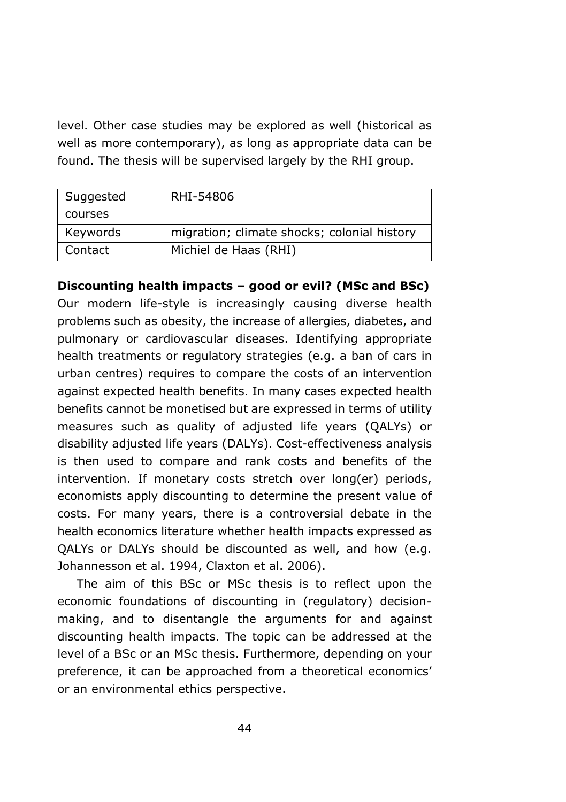level. Other case studies may be explored as well (historical as well as more contemporary), as long as appropriate data can be found. The thesis will be supervised largely by the RHI group.

| Suggested | RHI-54806                                   |
|-----------|---------------------------------------------|
| courses   |                                             |
| Keywords  | migration; climate shocks; colonial history |
| Contact   | Michiel de Haas (RHI)                       |

**Discounting health impacts – good or evil? (MSc and BSc)**

Our modern life-style is increasingly causing diverse health problems such as obesity, the increase of allergies, diabetes, and pulmonary or cardiovascular diseases. Identifying appropriate health treatments or regulatory strategies (e.g. a ban of cars in urban centres) requires to compare the costs of an intervention against expected health benefits. In many cases expected health benefits cannot be monetised but are expressed in terms of utility measures such as quality of adjusted life years (QALYs) or disability adjusted life years (DALYs). Cost-effectiveness analysis is then used to compare and rank costs and benefits of the intervention. If monetary costs stretch over long(er) periods, economists apply discounting to determine the present value of costs. For many years, there is a controversial debate in the health economics literature whether health impacts expressed as QALYs or DALYs should be discounted as well, and how (e.g. Johannesson et al. 1994, Claxton et al. 2006).

The aim of this BSc or MSc thesis is to reflect upon the economic foundations of discounting in (regulatory) decisionmaking, and to disentangle the arguments for and against discounting health impacts. The topic can be addressed at the level of a BSc or an MSc thesis. Furthermore, depending on your preference, it can be approached from a theoretical economics' or an environmental ethics perspective.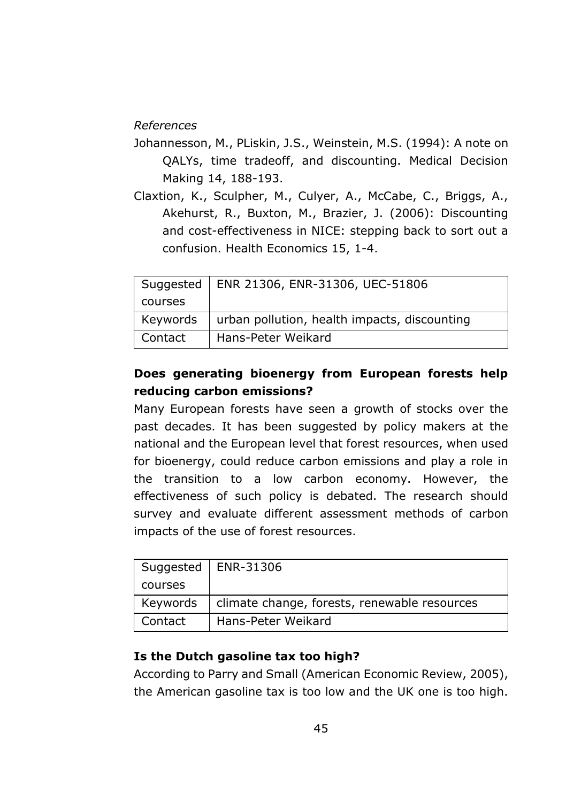### *References*

- Johannesson, M., PLiskin, J.S., Weinstein, M.S. (1994): A note on QALYs, time tradeoff, and discounting. Medical Decision Making 14, 188-193.
- Claxtion, K., Sculpher, M., Culyer, A., McCabe, C., Briggs, A., Akehurst, R., Buxton, M., Brazier, J. (2006): Discounting and cost-effectiveness in NICE: stepping back to sort out a confusion. Health Economics 15, 1-4.

| Suggested | ENR 21306, ENR-31306, UEC-51806              |
|-----------|----------------------------------------------|
| courses   |                                              |
| Keywords  | urban pollution, health impacts, discounting |
| Contact   | Hans-Peter Weikard                           |

# **Does generating bioenergy from European forests help reducing carbon emissions?**

Many European forests have seen a growth of stocks over the past decades. It has been suggested by policy makers at the national and the European level that forest resources, when used for bioenergy, could reduce carbon emissions and play a role in the transition to a low carbon economy. However, the effectiveness of such policy is debated. The research should survey and evaluate different assessment methods of carbon impacts of the use of forest resources.

|          | Suggested   ENR-31306                        |
|----------|----------------------------------------------|
| courses  |                                              |
| Keywords | climate change, forests, renewable resources |
| Contact  | Hans-Peter Weikard                           |

### **Is the Dutch gasoline tax too high?**

According to Parry and Small (American Economic Review, 2005), the American gasoline tax is too low and the UK one is too high.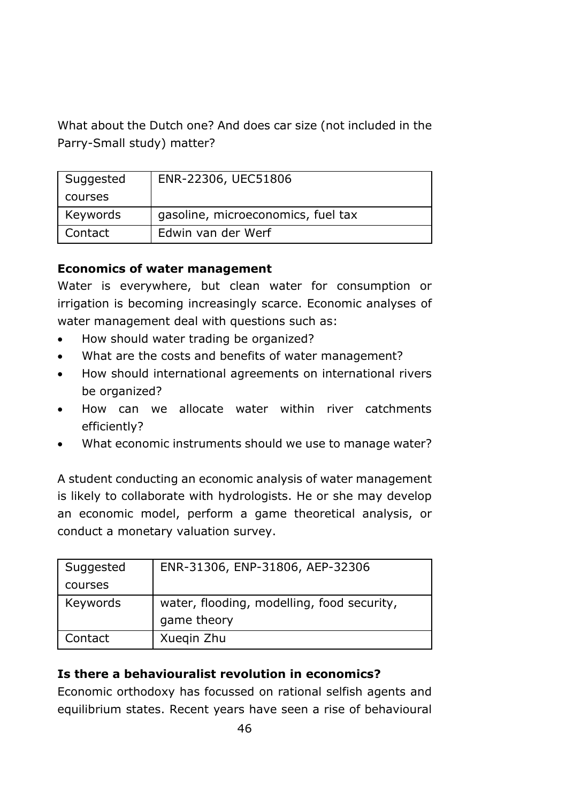What about the Dutch one? And does car size (not included in the Parry-Small study) matter?

| Suggested | ENR-22306, UEC51806                |
|-----------|------------------------------------|
| courses   |                                    |
| Keywords  | gasoline, microeconomics, fuel tax |
| Contact   | Edwin van der Werf                 |

### **Economics of water management**

Water is everywhere, but clean water for consumption or irrigation is becoming increasingly scarce. Economic analyses of water management deal with questions such as:

- How should water trading be organized?
- What are the costs and benefits of water management?
- How should international agreements on international rivers be organized?
- How can we allocate water within river catchments efficiently?
- What economic instruments should we use to manage water?

A student conducting an economic analysis of water management is likely to collaborate with hydrologists. He or she may develop an economic model, perform a game theoretical analysis, or conduct a monetary valuation survey.

| Suggested | ENR-31306, ENP-31806, AEP-32306            |
|-----------|--------------------------------------------|
| courses   |                                            |
| Keywords  | water, flooding, modelling, food security, |
|           | game theory                                |
| Contact   | Xuegin Zhu                                 |

# **Is there a behaviouralist revolution in economics?**

Economic orthodoxy has focussed on rational selfish agents and equilibrium states. Recent years have seen a rise of behavioural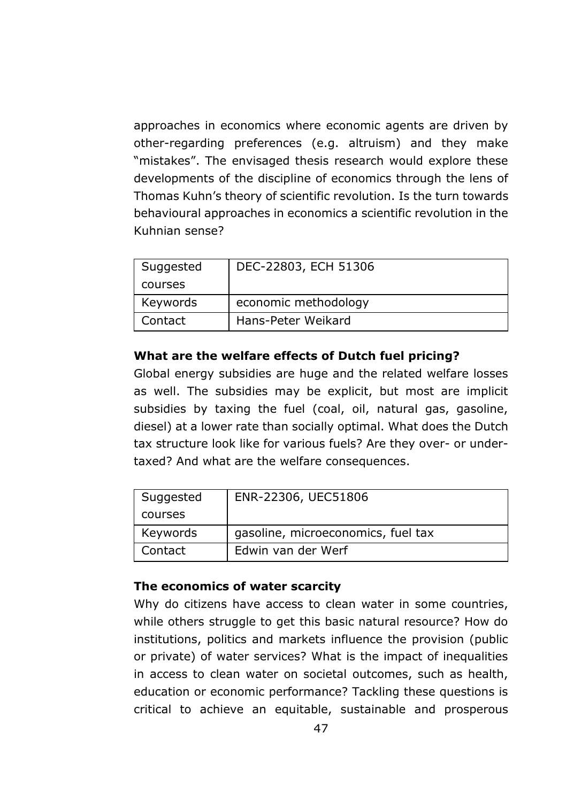approaches in economics where economic agents are driven by other-regarding preferences (e.g. altruism) and they make "mistakes". The envisaged thesis research would explore these developments of the discipline of economics through the lens of Thomas Kuhn's theory of scientific revolution. Is the turn towards behavioural approaches in economics a scientific revolution in the Kuhnian sense?

| Suggested | DEC-22803, ECH 51306 |
|-----------|----------------------|
| courses   |                      |
| Keywords  | economic methodology |
| Contact   | Hans-Peter Weikard   |

### **What are the welfare effects of Dutch fuel pricing?**

Global energy subsidies are huge and the related welfare losses as well. The subsidies may be explicit, but most are implicit subsidies by taxing the fuel (coal, oil, natural gas, gasoline, diesel) at a lower rate than socially optimal. What does the Dutch tax structure look like for various fuels? Are they over- or undertaxed? And what are the welfare consequences.

| Suggested | ENR-22306, UEC51806                |
|-----------|------------------------------------|
| courses   |                                    |
| Keywords  | gasoline, microeconomics, fuel tax |
| Contact   | Edwin van der Werf                 |

### **The economics of water scarcity**

Why do citizens have access to clean water in some countries, while others struggle to get this basic natural resource? How do institutions, politics and markets influence the provision (public or private) of water services? What is the impact of inequalities in access to clean water on societal outcomes, such as health, education or economic performance? Tackling these questions is critical to achieve an equitable, sustainable and prosperous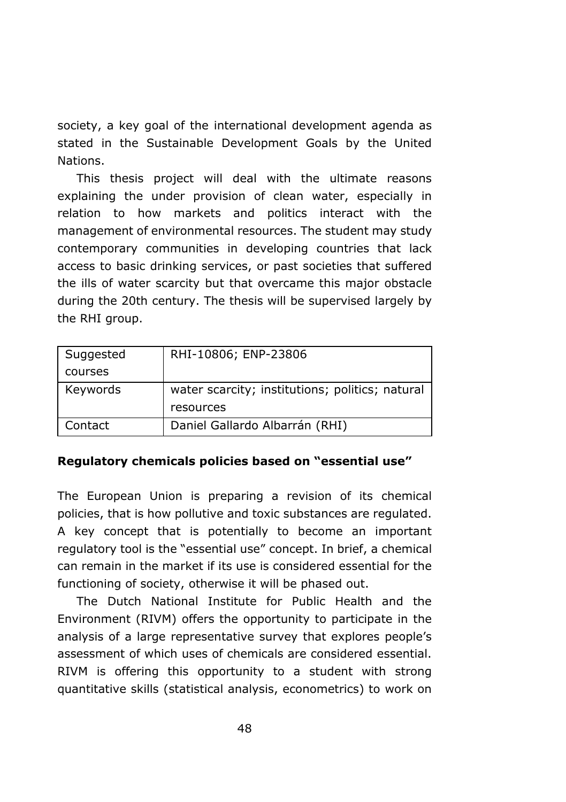society, a key goal of the international development agenda as stated in the Sustainable Development Goals by the United Nations.

This thesis project will deal with the ultimate reasons explaining the under provision of clean water, especially in relation to how markets and politics interact with the management of environmental resources. The student may study contemporary communities in developing countries that lack access to basic drinking services, or past societies that suffered the ills of water scarcity but that overcame this major obstacle during the 20th century. The thesis will be supervised largely by the RHI group.

| Suggested | RHI-10806; ENP-23806                            |
|-----------|-------------------------------------------------|
| courses   |                                                 |
| Keywords  | water scarcity; institutions; politics; natural |
|           | resources                                       |
| Contact   | Daniel Gallardo Albarrán (RHI)                  |

#### **Regulatory chemicals policies based on "essential use"**

The European Union is preparing a revision of its chemical policies, that is how pollutive and toxic substances are regulated. A key concept that is potentially to become an important regulatory tool is the "essential use" concept. In brief, a chemical can remain in the market if its use is considered essential for the functioning of society, otherwise it will be phased out.

The Dutch National Institute for Public Health and the Environment (RIVM) offers the opportunity to participate in the analysis of a large representative survey that explores people's assessment of which uses of chemicals are considered essential. RIVM is offering this opportunity to a student with strong quantitative skills (statistical analysis, econometrics) to work on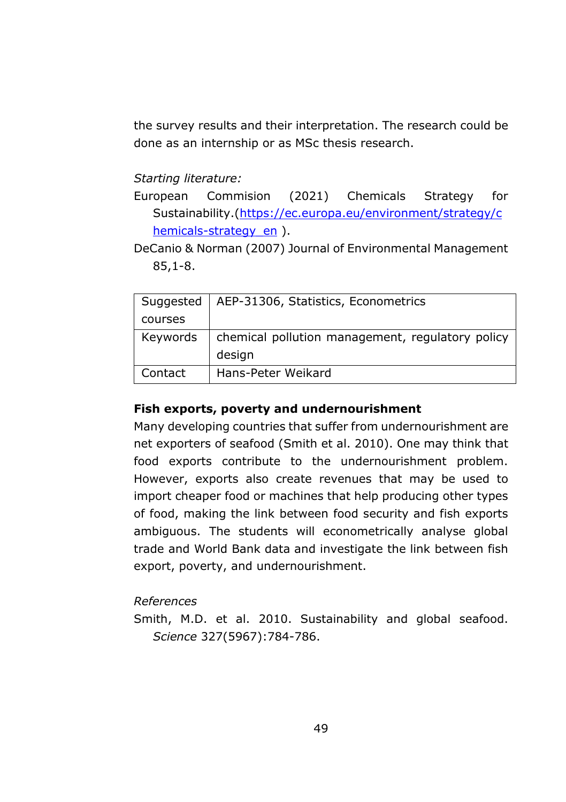the survey results and their interpretation. The research could be done as an internship or as MSc thesis research.

### *Starting literature:*

European Commision (2021) Chemicals Strategy for Sustainability.[\(https://ec.europa.eu/environment/strategy/c](https://ec.europa.eu/environment/strategy/chemicals-strategy_en) hemicals-strategy en ).

DeCanio & Norman (2007) Journal of Environmental Management 85,1-8.

|          | Suggested   AEP-31306, Statistics, Econometrics  |  |  |
|----------|--------------------------------------------------|--|--|
| courses  |                                                  |  |  |
| Keywords | chemical pollution management, regulatory policy |  |  |
|          | design                                           |  |  |
| Contact  | Hans-Peter Weikard                               |  |  |

### **Fish exports, poverty and undernourishment**

Many developing countries that suffer from undernourishment are net exporters of seafood (Smith et al. 2010). One may think that food exports contribute to the undernourishment problem. However, exports also create revenues that may be used to import cheaper food or machines that help producing other types of food, making the link between food security and fish exports ambiguous. The students will econometrically analyse global trade and World Bank data and investigate the link between fish export, poverty, and undernourishment.

### *References*

Smith, M.D. et al. 2010. Sustainability and global seafood. *Science* 327(5967):784-786.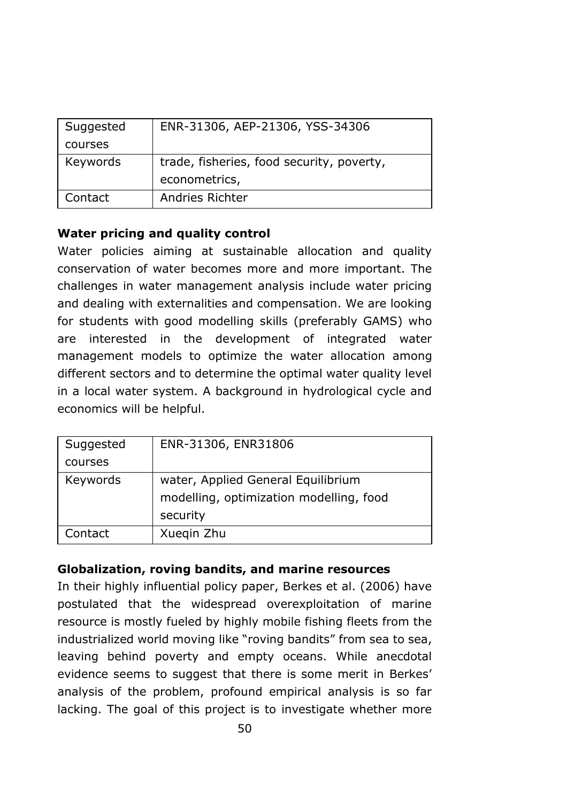| Suggested | ENR-31306, AEP-21306, YSS-34306           |
|-----------|-------------------------------------------|
| courses   |                                           |
| Keywords  | trade, fisheries, food security, poverty, |
|           | econometrics,                             |
| Contact   | Andries Richter                           |

### **Water pricing and quality control**

Water policies aiming at sustainable allocation and quality conservation of water becomes more and more important. The challenges in water management analysis include water pricing and dealing with externalities and compensation. We are looking for students with good modelling skills (preferably GAMS) who are interested in the development of integrated water management models to optimize the water allocation among different sectors and to determine the optimal water quality level in a local water system. A background in hydrological cycle and economics will be helpful.

| Suggested | ENR-31306, ENR31806                                                                       |
|-----------|-------------------------------------------------------------------------------------------|
| courses   |                                                                                           |
| Keywords  | water, Applied General Equilibrium<br>modelling, optimization modelling, food<br>security |
| Contact   | Xuegin Zhu                                                                                |

# **Globalization, roving bandits, and marine resources**

In their highly influential policy paper, Berkes et al. (2006) have postulated that the widespread overexploitation of marine resource is mostly fueled by highly mobile fishing fleets from the industrialized world moving like "roving bandits" from sea to sea, leaving behind poverty and empty oceans. While anecdotal evidence seems to suggest that there is some merit in Berkes' analysis of the problem, profound empirical analysis is so far lacking. The goal of this project is to investigate whether more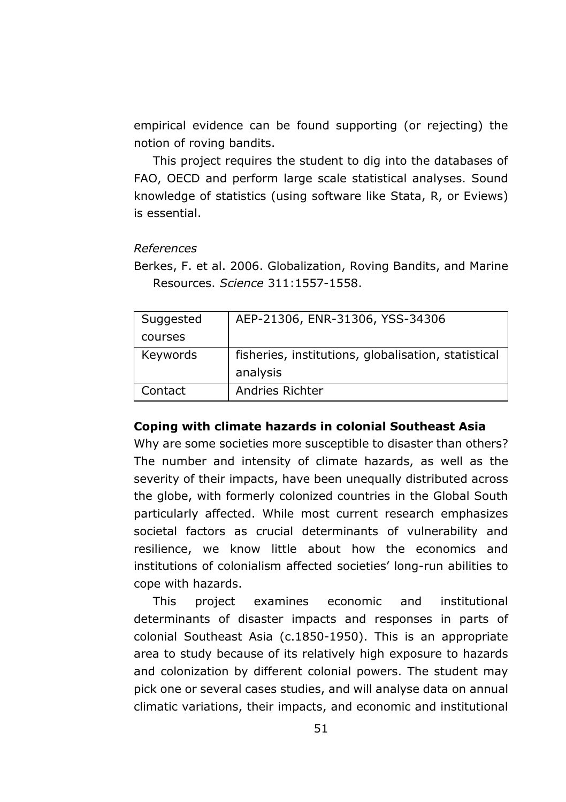empirical evidence can be found supporting (or rejecting) the notion of roving bandits.

This project requires the student to dig into the databases of FAO, OECD and perform large scale statistical analyses. Sound knowledge of statistics (using software like Stata, R, or Eviews) is essential.

### *References*

Berkes, F. et al. 2006. Globalization, Roving Bandits, and Marine Resources. *Science* 311:1557-1558.

| Suggested | AEP-21306, ENR-31306, YSS-34306                     |
|-----------|-----------------------------------------------------|
| courses   |                                                     |
| Keywords  | fisheries, institutions, globalisation, statistical |
|           | analysis                                            |
| Contact   | Andries Richter                                     |

#### **Coping with climate hazards in colonial Southeast Asia**

Why are some societies more susceptible to disaster than others? The number and intensity of climate hazards, as well as the severity of their impacts, have been unequally distributed across the globe, with formerly colonized countries in the Global South particularly affected. While most current research emphasizes societal factors as crucial determinants of vulnerability and resilience, we know little about how the economics and institutions of colonialism affected societies' long-run abilities to cope with hazards.

This project examines economic and institutional determinants of disaster impacts and responses in parts of colonial Southeast Asia (c.1850-1950). This is an appropriate area to study because of its relatively high exposure to hazards and colonization by different colonial powers. The student may pick one or several cases studies, and will analyse data on annual climatic variations, their impacts, and economic and institutional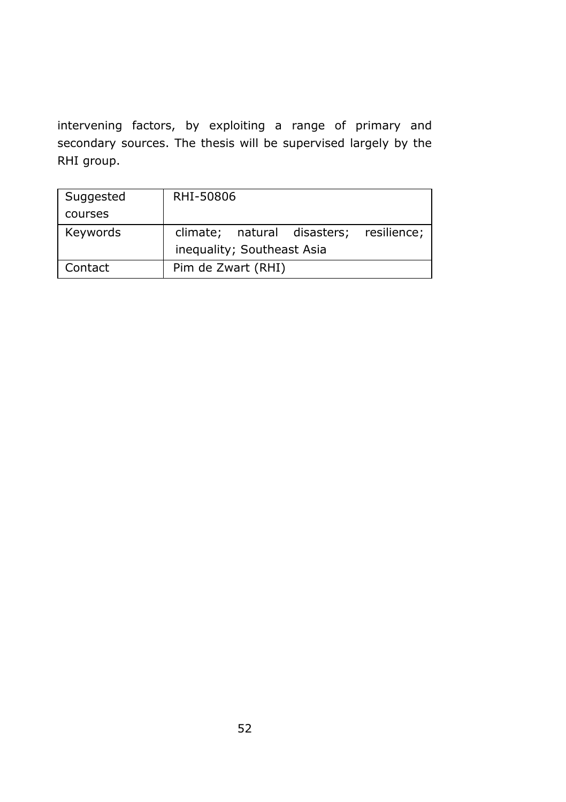intervening factors, by exploiting a range of primary and secondary sources. The thesis will be supervised largely by the RHI group.

| Suggested | RHI-50806                  |  |                                         |  |
|-----------|----------------------------|--|-----------------------------------------|--|
| courses   |                            |  |                                         |  |
| Keywords  |                            |  | climate; natural disasters; resilience; |  |
|           | inequality; Southeast Asia |  |                                         |  |
| Contact   | Pim de Zwart (RHI)         |  |                                         |  |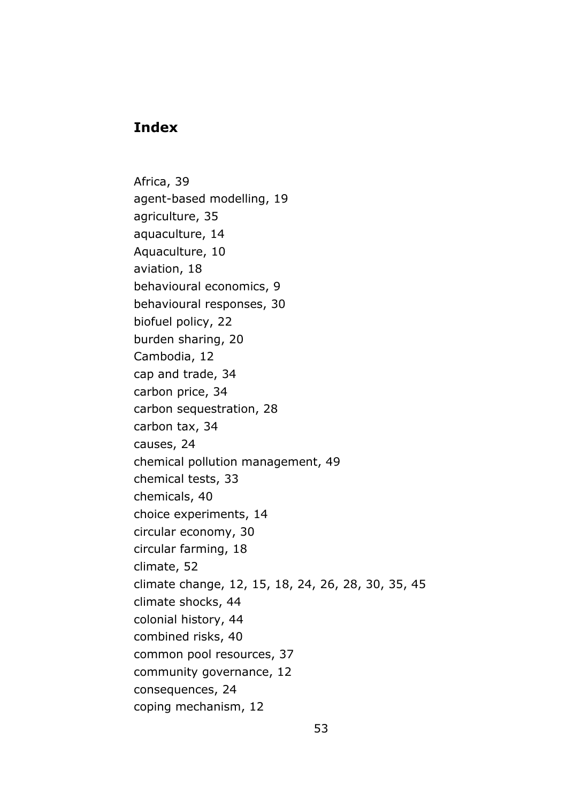## **Index**

Africa, 39 agent-based modelling, 19 agriculture, 35 aquaculture, 14 Aquaculture, 10 aviation, 18 behavioural economics, 9 behavioural responses, 30 biofuel policy, 22 burden sharing, 20 Cambodia, 12 cap and trade, 34 carbon price, 34 carbon sequestration, 28 carbon tax, 34 causes, 24 chemical pollution management, 49 chemical tests, 33 chemicals, 40 choice experiments, 14 circular economy, 30 circular farming, 18 climate, 52 climate change, 12, 15, 18, 24, 26, 28, 30, 35, 45 climate shocks, 44 colonial history, 44 combined risks, 40 common pool resources, 37 community governance, 12 consequences, 24 coping mechanism, 12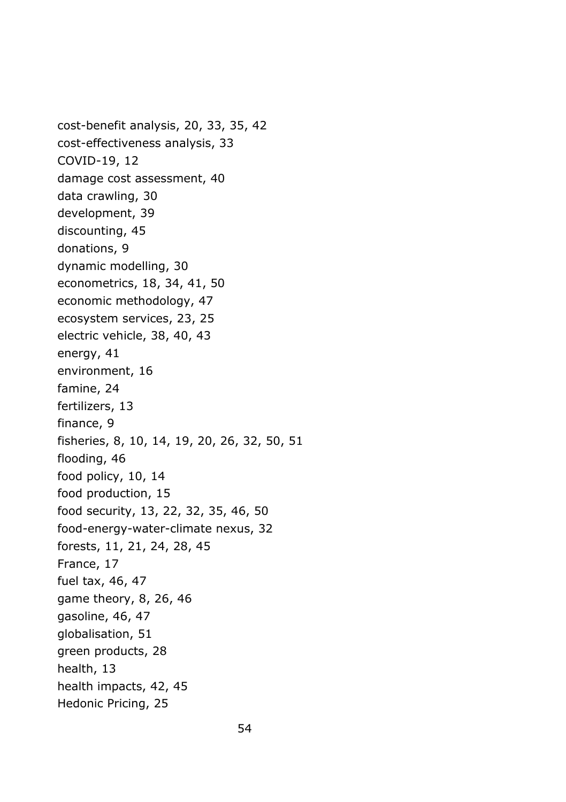cost-benefit analysis, 20, 33, 35, 42 cost-effectiveness analysis, 33 COVID-19, 12 damage cost assessment, 40 data crawling, 30 development, 39 discounting, 45 donations, 9 dynamic modelling, 30 econometrics, 18, 34, 41, 50 economic methodology, 47 ecosystem services, 23, 25 electric vehicle, 38, 40, 43 energy, 41 environment, 16 famine, 24 fertilizers, 13 finance, 9 fisheries, 8, 10, 14, 19, 20, 26, 32, 50, 51 flooding, 46 food policy, 10, 14 food production, 15 food security, 13, 22, 32, 35, 46, 50 food-energy-water-climate nexus, 32 forests, 11, 21, 24, 28, 45 France, 17 fuel tax, 46, 47 game theory, 8, 26, 46 gasoline, 46, 47 globalisation, 51 green products, 28 health, 13 health impacts, 42, 45 Hedonic Pricing, 25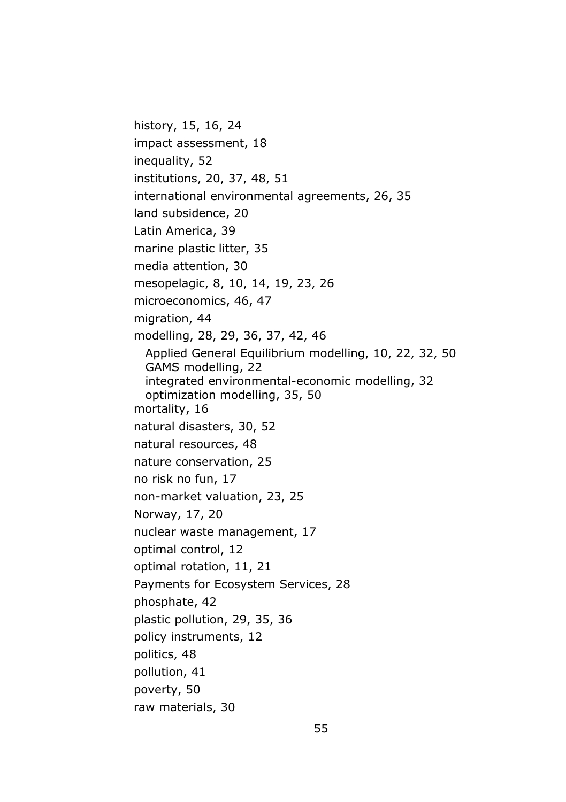history, 15, 16, 24 impact assessment, 18 inequality, 52 institutions, 20, 37, 48, 51 international environmental agreements, 26, 35 land subsidence, 20 Latin America, 39 marine plastic litter, 35 media attention, 30 mesopelagic, 8, 10, 14, 19, 23, 26 microeconomics, 46, 47 migration, 44 modelling, 28, 29, 36, 37, 42, 46 Applied General Equilibrium modelling, 10, 22, 32, 50 GAMS modelling, 22 integrated environmental-economic modelling, 32 optimization modelling, 35, 50 mortality, 16 natural disasters, 30, 52 natural resources, 48 nature conservation, 25 no risk no fun, 17 non-market valuation, 23, 25 Norway, 17, 20 nuclear waste management, 17 optimal control, 12 optimal rotation, 11, 21 Payments for Ecosystem Services, 28 phosphate, 42 plastic pollution, 29, 35, 36 policy instruments, 12 politics, 48 pollution, 41 poverty, 50 raw materials, 30